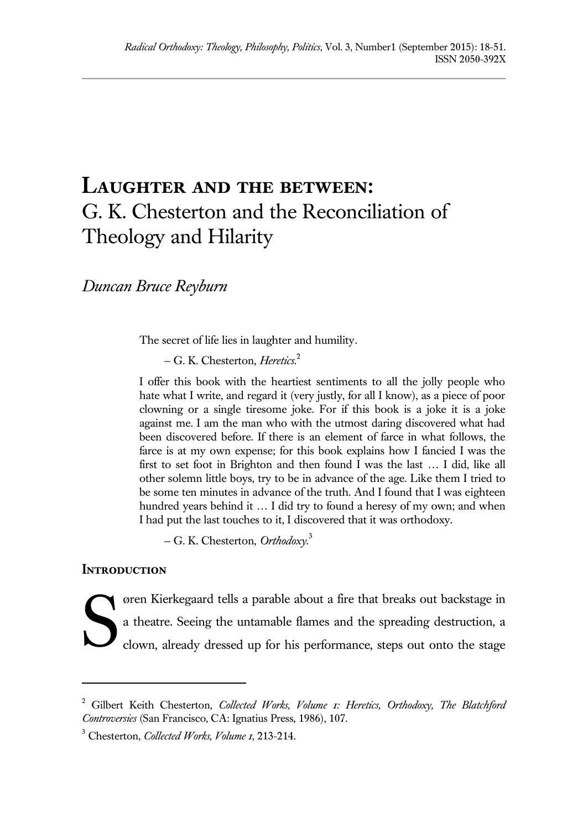## **Laughter and the between:**  G. K. Chesterton and the Reconciliation of Theology and Hilarity

*Duncan Bruce Reyburn*

The secret of life lies in laughter and humility.

— G. K. Chesterton, *Heretics.*<sup>2</sup>

I offer this book with the heartiest sentiments to all the jolly people who hate what I write, and regard it (very justly, for all I know), as a piece of poor clowning or a single tiresome joke. For if this book is a joke it is a joke against me. I am the man who with the utmost daring discovered what had been discovered before. If there is an element of farce in what follows, the farce is at my own expense; for this book explains how I fancied I was the first to set foot in Brighton and then found I was the last … I did, like all other solemn little boys, try to be in advance of the age. Like them I tried to be some ten minutes in advance of the truth. And I found that I was eighteen hundred years behind it … I did try to found a heresy of my own; and when I had put the last touches to it, I discovered that it was orthodoxy.

— G. K. Chesterton, *Orthodoxy.*<sup>3</sup>

## **Introduction**

 $\overline{a}$ 

øren Kierkegaard tells a parable about a fire that breaks out backstage in a theatre. Seeing the untamable flames and the spreading destruction, a clown, already dressed up for his performance, steps out onto the stage S

<sup>2</sup> Gilbert Keith Chesterton, *Collected Works, Volume 1: Heretics, Orthodoxy, The Blatchford Controversies* (San Francisco, CA: Ignatius Press, 1986), 107.

<sup>3</sup> Chesterton, *Collected Works, Volume 1*, 213-214.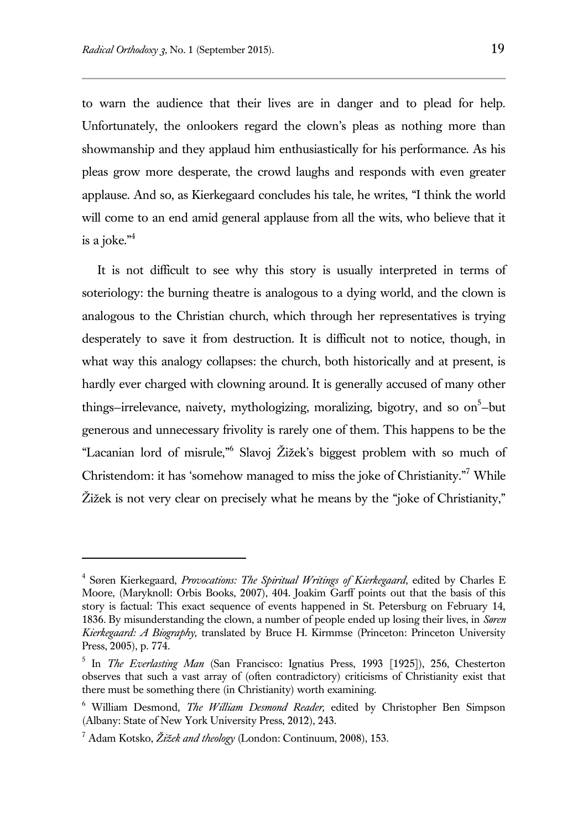to warn the audience that their lives are in danger and to plead for help. Unfortunately, the onlookers regard the clown's pleas as nothing more than showmanship and they applaud him enthusiastically for his performance. As his pleas grow more desperate, the crowd laughs and responds with even greater applause. And so, as Kierkegaard concludes his tale, he writes, "I think the world will come to an end amid general applause from all the wits, who believe that it is a joke." $4$ 

It is not difficult to see why this story is usually interpreted in terms of soteriology: the burning theatre is analogous to a dying world, and the clown is analogous to the Christian church, which through her representatives is trying desperately to save it from destruction. It is difficult not to notice, though, in what way this analogy collapses: the church, both historically and at present, is hardly ever charged with clowning around. It is generally accused of many other things–irrelevance, naivety, mythologizing, moralizing, bigotry, and so on<sup>5</sup>-but generous and unnecessary frivolity is rarely one of them. This happens to be the "Lacanian lord of misrule," 6 Slavoj Žižek's biggest problem with so much of Christendom: it has 'somehow managed to miss the joke of Christianity."<sup>7</sup> While Žižek is not very clear on precisely what he means by the "joke of Christianity,"

<sup>4</sup> Søren Kierkegaard, *Provocations: The Spiritual Writings of Kierkegaard*, edited by Charles E Moore, (Maryknoll: Orbis Books, 2007), 404. Joakim Garff points out that the basis of this story is factual: This exact sequence of events happened in St. Petersburg on February 14, 1836. By misunderstanding the clown, a number of people ended up losing their lives, in *Søren Kierkegaard: A Biography,* translated by Bruce H. Kirmmse (Princeton: Princeton University Press, 2005), p. 774.

<sup>&</sup>lt;sup>5</sup> In *The Everlasting Man* (San Francisco: Ignatius Press, 1993 [1925]), 256, Chesterton observes that such a vast array of (often contradictory) criticisms of Christianity exist that there must be something there (in Christianity) worth examining.

<sup>6</sup> William Desmond, *The William Desmond Reader,* edited by Christopher Ben Simpson (Albany: State of New York University Press, 2012), 243.

<sup>7</sup> Adam Kotsko, *Žižek and theology* (London: Continuum, 2008), 153.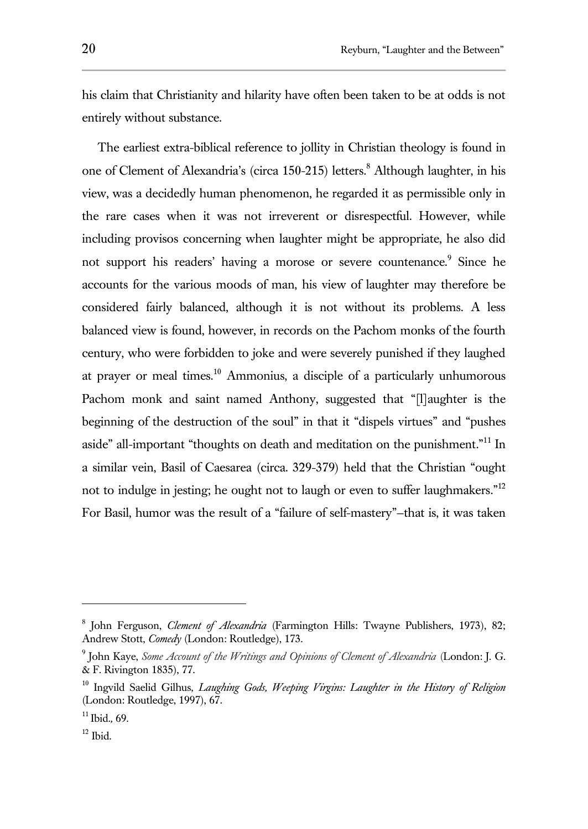his claim that Christianity and hilarity have often been taken to be at odds is not entirely without substance.

The earliest extra-biblical reference to jollity in Christian theology is found in one of Clement of Alexandria's (circa 150-215) letters.<sup>8</sup> Although laughter, in his view, was a decidedly human phenomenon, he regarded it as permissible only in the rare cases when it was not irreverent or disrespectful. However, while including provisos concerning when laughter might be appropriate, he also did not support his readers' having a morose or severe countenance.<sup>9</sup> Since he accounts for the various moods of man, his view of laughter may therefore be considered fairly balanced, although it is not without its problems. A less balanced view is found, however, in records on the Pachom monks of the fourth century, who were forbidden to joke and were severely punished if they laughed at prayer or meal times. $10$  Ammonius, a disciple of a particularly unhumorous Pachom monk and saint named Anthony, suggested that "[l]aughter is the beginning of the destruction of the soul" in that it "dispels virtues" and "pushes aside" all-important "thoughts on death and meditation on the punishment."<sup>11</sup> In a similar vein, Basil of Caesarea (circa. 329-379) held that the Christian "ought not to indulge in jesting; he ought not to laugh or even to suffer laughmakers."<sup>12</sup> For Basil, humor was the result of a "failure of self-mastery"—that is, it was taken

<sup>8</sup> John Ferguson, *Clement of Alexandria* (Farmington Hills: Twayne Publishers, 1973), 82; Andrew Stott, *Comedy* (London: Routledge), 173.

<sup>9</sup> John Kaye, *Some Account of the Writings and Opinions of Clement of Alexandria* (London: J. G. & F. Rivington 1835), 77.

<sup>10</sup> Ingvild Saelid Gilhus, *Laughing Gods, Weeping Virgins: Laughter in the History of Religion* (London: Routledge, 1997), 67.

<sup>11</sup> Ibid.*,* 69.

 $12$  Ibid.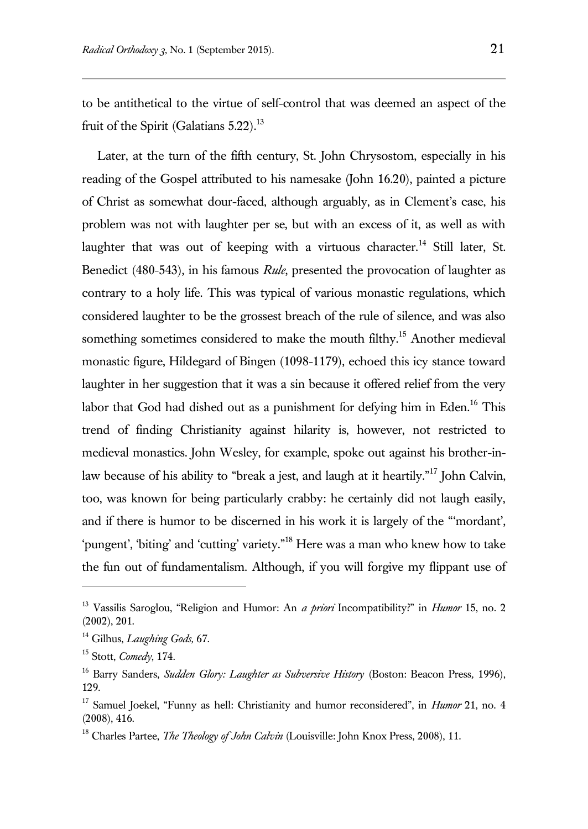to be antithetical to the virtue of self-control that was deemed an aspect of the fruit of the Spirit (Galatians  $5.22$ ).<sup>13</sup>

Later, at the turn of the fifth century, St. John Chrysostom, especially in his reading of the Gospel attributed to his namesake (John 16.20), painted a picture of Christ as somewhat dour-faced, although arguably, as in Clement's case, his problem was not with laughter per se, but with an excess of it, as well as with laughter that was out of keeping with a virtuous character.<sup>14</sup> Still later, St. Benedict (480-543), in his famous *Rule*, presented the provocation of laughter as contrary to a holy life. This was typical of various monastic regulations, which considered laughter to be the grossest breach of the rule of silence, and was also something sometimes considered to make the mouth filthy.<sup>15</sup> Another medieval monastic figure, Hildegard of Bingen (1098-1179), echoed this icy stance toward laughter in her suggestion that it was a sin because it offered relief from the very labor that God had dished out as a punishment for defying him in Eden.<sup>16</sup> This trend of finding Christianity against hilarity is, however, not restricted to medieval monastics. John Wesley, for example, spoke out against his brother-inlaw because of his ability to "break a jest, and laugh at it heartily."<sup>17</sup> John Calvin, too, was known for being particularly crabby: he certainly did not laugh easily, and if there is humor to be discerned in his work it is largely of the "'mordant', 'pungent', 'biting' and 'cutting' variety."<sup>18</sup> Here was a man who knew how to take the fun out of fundamentalism. Although, if you will forgive my flippant use of

<sup>13</sup> Vassilis Saroglou, "Religion and Humor: An *a priori* Incompatibility?" in *Humor* 15, no. 2 (2002), 201.

<sup>14</sup> Gilhus, *Laughing Gods,* 67.

<sup>15</sup> Stott, *Comedy*, 174.

<sup>&</sup>lt;sup>16</sup> Barry Sanders, *Sudden Glory: Laughter as Subversive History* (Boston: Beacon Press, 1996), 129.

<sup>17</sup> Samuel Joekel, "Funny as hell: Christianity and humor reconsidered", in *Humor* 21, no. 4 (2008), 416.

<sup>&</sup>lt;sup>18</sup> Charles Partee, *The Theology of John Calvin* (Louisville: John Knox Press, 2008), 11.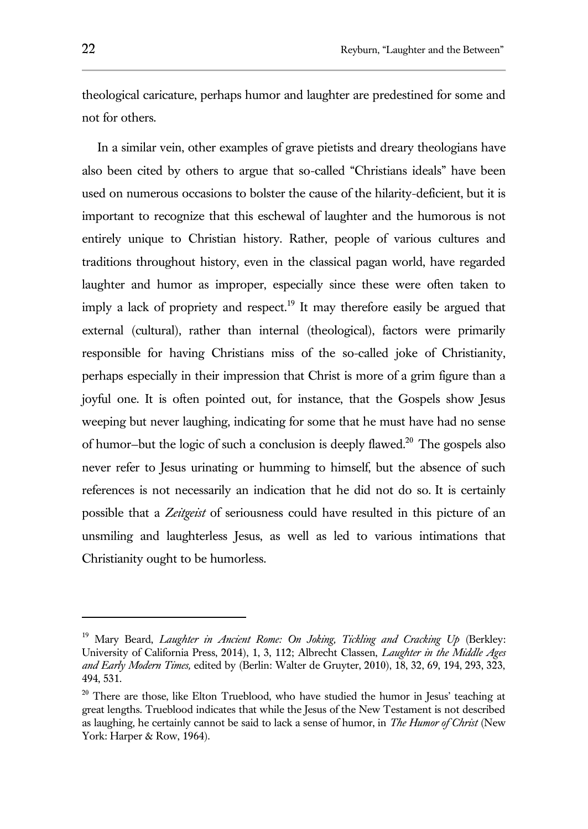theological caricature, perhaps humor and laughter are predestined for some and not for others.

In a similar vein, other examples of grave pietists and dreary theologians have also been cited by others to argue that so-called "Christians ideals" have been used on numerous occasions to bolster the cause of the hilarity-deficient, but it is important to recognize that this eschewal of laughter and the humorous is not entirely unique to Christian history. Rather, people of various cultures and traditions throughout history, even in the classical pagan world, have regarded laughter and humor as improper, especially since these were often taken to imply a lack of propriety and respect.<sup>19</sup> It may therefore easily be argued that external (cultural), rather than internal (theological), factors were primarily responsible for having Christians miss of the so-called joke of Christianity, perhaps especially in their impression that Christ is more of a grim figure than a joyful one. It is often pointed out, for instance, that the Gospels show Jesus weeping but never laughing, indicating for some that he must have had no sense of humor-but the logic of such a conclusion is deeply flawed.<sup>20</sup> The gospels also never refer to Jesus urinating or humming to himself, but the absence of such references is not necessarily an indication that he did not do so. It is certainly possible that a *Zeitgeist* of seriousness could have resulted in this picture of an unsmiling and laughterless Jesus, as well as led to various intimations that Christianity ought to be humorless.

<sup>&</sup>lt;sup>19</sup> Mary Beard, *Laughter in Ancient Rome: On Joking, Tickling and Cracking Up (Berkley:* University of California Press, 2014), 1, 3, 112; Albrecht Classen, *Laughter in the Middle Ages and Early Modern Times,* edited by (Berlin: Walter de Gruyter, 2010), 18, 32, 69, 194, 293, 323, 494, 531.

<sup>&</sup>lt;sup>20</sup> There are those, like Elton Trueblood, who have studied the humor in Jesus' teaching at great lengths. Trueblood indicates that while the Jesus of the New Testament is not described as laughing, he certainly cannot be said to lack a sense of humor, in *The Humor of Christ* (New York: Harper & Row, 1964).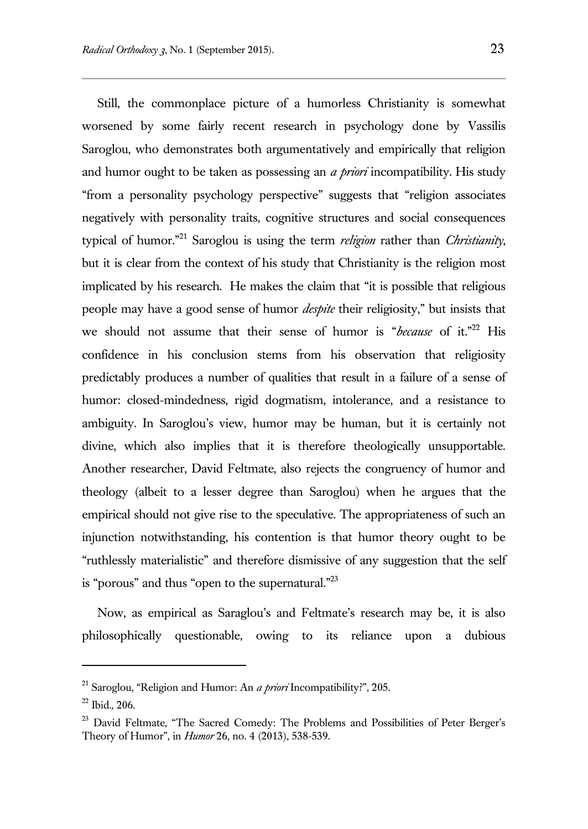Still, the commonplace picture of a humorless Christianity is somewhat worsened by some fairly recent research in psychology done by Vassilis Saroglou, who demonstrates both argumentatively and empirically that religion and humor ought to be taken as possessing an *a priori* incompatibility. His study "from a personality psychology perspective" suggests that "religion associates negatively with personality traits, cognitive structures and social consequences typical of humor."<sup>21</sup> Saroglou is using the term *religion* rather than *Christianity*, but it is clear from the context of his study that Christianity is the religion most implicated by his research. He makes the claim that "it is possible that religious people may have a good sense of humor *despite* their religiosity," but insists that we should not assume that their sense of humor is "*because* of it."<sup>22</sup> His confidence in his conclusion stems from his observation that religiosity predictably produces a number of qualities that result in a failure of a sense of humor: closed-mindedness, rigid dogmatism, intolerance, and a resistance to ambiguity. In Saroglou's view, humor may be human, but it is certainly not divine, which also implies that it is therefore theologically unsupportable. Another researcher, David Feltmate, also rejects the congruency of humor and theology (albeit to a lesser degree than Saroglou) when he argues that the empirical should not give rise to the speculative. The appropriateness of such an injunction notwithstanding, his contention is that humor theory ought to be "ruthlessly materialistic" and therefore dismissive of any suggestion that the self is "porous" and thus "open to the supernatural. $^{223}$ 

Now, as empirical as Saraglou's and Feltmate's research may be, it is also philosophically questionable, owing to its reliance upon a dubious

<sup>21</sup> Saroglou, "Religion and Humor: An *a priori* Incompatibility?"*,* 205.

<sup>22</sup> Ibid.*,* 206.

<sup>&</sup>lt;sup>23</sup> David Feltmate, "The Sacred Comedy: The Problems and Possibilities of Peter Berger's Theory of Humor", in *Humor* 26, no. 4 (2013), 538-539.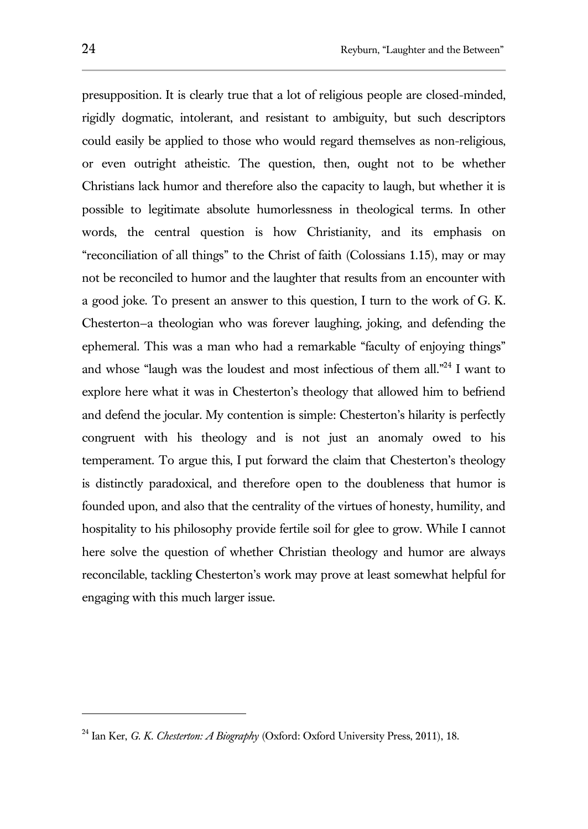presupposition. It is clearly true that a lot of religious people are closed-minded, rigidly dogmatic, intolerant, and resistant to ambiguity, but such descriptors could easily be applied to those who would regard themselves as non-religious, or even outright atheistic. The question, then, ought not to be whether Christians lack humor and therefore also the capacity to laugh, but whether it is possible to legitimate absolute humorlessness in theological terms. In other words, the central question is how Christianity, and its emphasis on "reconciliation of all things" to the Christ of faith (Colossians 1.15), may or may not be reconciled to humor and the laughter that results from an encounter with a good joke. To present an answer to this question, I turn to the work of G. K. Chesterton—a theologian who was forever laughing, joking, and defending the ephemeral. This was a man who had a remarkable "faculty of enjoying things" and whose "laugh was the loudest and most infectious of them all."<sup>24</sup> I want to explore here what it was in Chesterton's theology that allowed him to befriend and defend the jocular. My contention is simple: Chesterton's hilarity is perfectly congruent with his theology and is not just an anomaly owed to his temperament. To argue this, I put forward the claim that Chesterton's theology is distinctly paradoxical, and therefore open to the doubleness that humor is founded upon, and also that the centrality of the virtues of honesty, humility, and hospitality to his philosophy provide fertile soil for glee to grow. While I cannot here solve the question of whether Christian theology and humor are always reconcilable, tackling Chesterton's work may prove at least somewhat helpful for engaging with this much larger issue.

<sup>24</sup> Ian Ker, *G. K. Chesterton: A Biography* (Oxford: Oxford University Press, 2011), 18.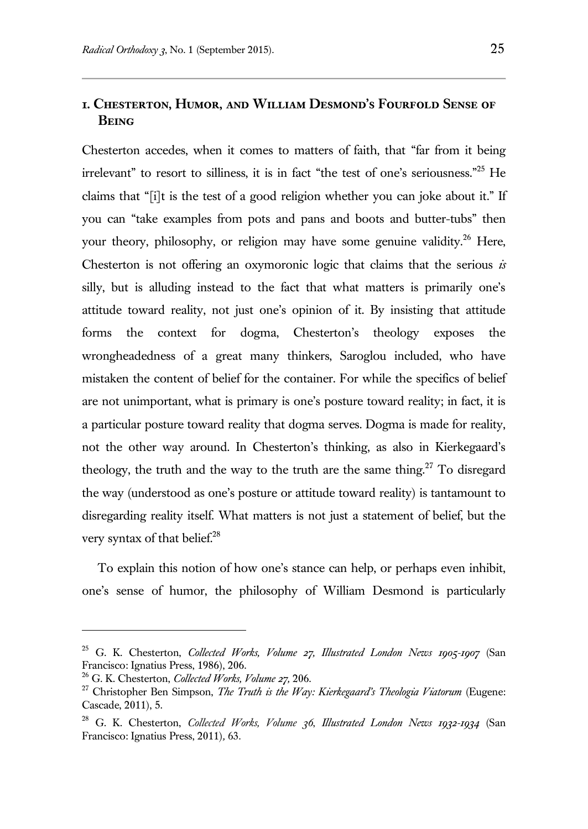## **1. Chesterton, Humor, and William Desmond's Fourfold Sense of Being**

Chesterton accedes, when it comes to matters of faith, that "far from it being irrelevant" to resort to silliness, it is in fact "the test of one's seriousness."<sup>25</sup> He claims that "[i]t is the test of a good religion whether you can joke about it." If you can "take examples from pots and pans and boots and butter-tubs" then your theory, philosophy, or religion may have some genuine validity.<sup>26</sup> Here, Chesterton is not offering an oxymoronic logic that claims that the serious *is* silly, but is alluding instead to the fact that what matters is primarily one's attitude toward reality, not just one's opinion of it. By insisting that attitude forms the context for dogma, Chesterton's theology exposes the wrongheadedness of a great many thinkers, Saroglou included, who have mistaken the content of belief for the container. For while the specifics of belief are not unimportant, what is primary is one's posture toward reality; in fact, it is a particular posture toward reality that dogma serves. Dogma is made for reality, not the other way around. In Chesterton's thinking, as also in Kierkegaard's theology, the truth and the way to the truth are the same thing.<sup>27</sup> To disregard the way (understood as one's posture or attitude toward reality) is tantamount to disregarding reality itself. What matters is not just a statement of belief, but the very syntax of that belief.<sup>28</sup>

To explain this notion of how one's stance can help, or perhaps even inhibit, one's sense of humor, the philosophy of William Desmond is particularly

<sup>25</sup> G. K. Chesterton, *Collected Works, Volume 27, Illustrated London News 1905-1907* (San Francisco: Ignatius Press, 1986), 206.

<sup>26</sup> G. K. Chesterton, *Collected Works, Volume 27,* 206.

<sup>&</sup>lt;sup>27</sup> Christopher Ben Simpson, *The Truth is the Way: Kierkegaard's Theologia Viatorum* (Eugene: Cascade, 2011), 5.

<sup>28</sup> G. K. Chesterton, *Collected Works, Volume 36*, *Illustrated London News 1932-1934* (San Francisco: Ignatius Press, 2011)*,* 63.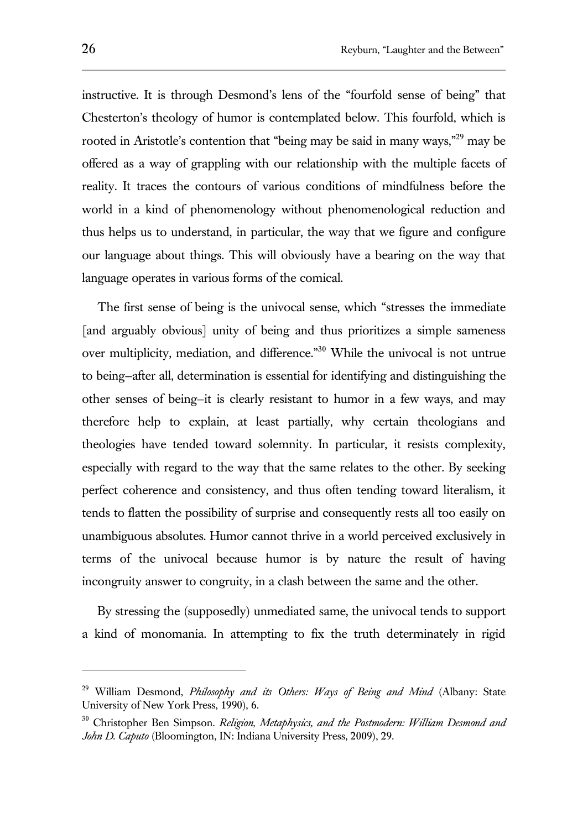instructive. It is through Desmond's lens of the "fourfold sense of being" that Chesterton's theology of humor is contemplated below. This fourfold, which is rooted in Aristotle's contention that "being may be said in many ways,"<sup>29</sup> may be offered as a way of grappling with our relationship with the multiple facets of reality. It traces the contours of various conditions of mindfulness before the world in a kind of phenomenology without phenomenological reduction and thus helps us to understand, in particular, the way that we figure and configure our language about things. This will obviously have a bearing on the way that language operates in various forms of the comical.

The first sense of being is the univocal sense, which "stresses the immediate [and arguably obvious] unity of being and thus prioritizes a simple sameness over multiplicity, mediation, and difference."<sup>30</sup> While the univocal is not untrue to being—after all, determination is essential for identifying and distinguishing the other senses of being—it is clearly resistant to humor in a few ways, and may therefore help to explain, at least partially, why certain theologians and theologies have tended toward solemnity. In particular, it resists complexity, especially with regard to the way that the same relates to the other. By seeking perfect coherence and consistency, and thus often tending toward literalism, it tends to flatten the possibility of surprise and consequently rests all too easily on unambiguous absolutes. Humor cannot thrive in a world perceived exclusively in terms of the univocal because humor is by nature the result of having incongruity answer to congruity, in a clash between the same and the other.

By stressing the (supposedly) unmediated same, the univocal tends to support a kind of monomania. In attempting to fix the truth determinately in rigid

<sup>29</sup> William Desmond, *Philosophy and its Others: Ways of Being and Mind* (Albany: State University of New York Press, 1990), 6.

<sup>30</sup> Christopher Ben Simpson. *Religion, Metaphysics, and the Postmodern: William Desmond and John D. Caputo* (Bloomington, IN: Indiana University Press, 2009), 29.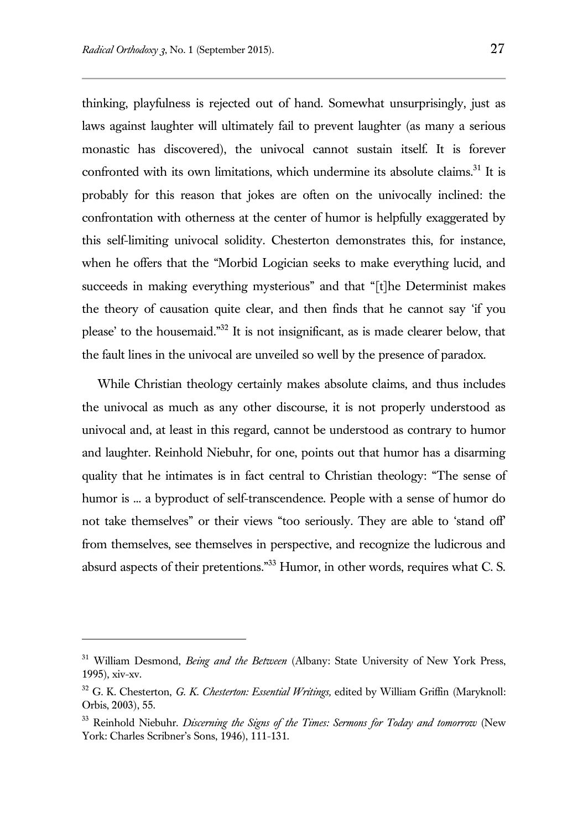$\overline{a}$ 

thinking, playfulness is rejected out of hand. Somewhat unsurprisingly, just as laws against laughter will ultimately fail to prevent laughter (as many a serious monastic has discovered), the univocal cannot sustain itself. It is forever confronted with its own limitations, which undermine its absolute claims.<sup>31</sup> It is probably for this reason that jokes are often on the univocally inclined: the confrontation with otherness at the center of humor is helpfully exaggerated by this self-limiting univocal solidity. Chesterton demonstrates this, for instance, when he offers that the "Morbid Logician seeks to make everything lucid, and succeeds in making everything mysterious" and that "[t]he Determinist makes the theory of causation quite clear, and then finds that he cannot say 'if you please' to the housemaid."<sup>32</sup> It is not insignificant, as is made clearer below, that the fault lines in the univocal are unveiled so well by the presence of paradox.

While Christian theology certainly makes absolute claims, and thus includes the univocal as much as any other discourse, it is not properly understood as univocal and, at least in this regard, cannot be understood as contrary to humor and laughter. Reinhold Niebuhr, for one, points out that humor has a disarming quality that he intimates is in fact central to Christian theology: "The sense of humor is ... a byproduct of self-transcendence. People with a sense of humor do not take themselves" or their views "too seriously. They are able to 'stand off' from themselves, see themselves in perspective, and recognize the ludicrous and absurd aspects of their pretentions."<sup>33</sup> Humor, in other words, requires what C. S.

<sup>&</sup>lt;sup>31</sup> William Desmond, *Being and the Between* (Albany: State University of New York Press, 1995), xiv-xv.

<sup>32</sup> G. K. Chesterton, *G. K. Chesterton: Essential Writings,* edited by William Griffin (Maryknoll: Orbis, 2003), 55.

<sup>33</sup> Reinhold Niebuhr. *Discerning the Signs of the Times: Sermons for Today and tomorrow* (New York: Charles Scribner's Sons, 1946), 111-131.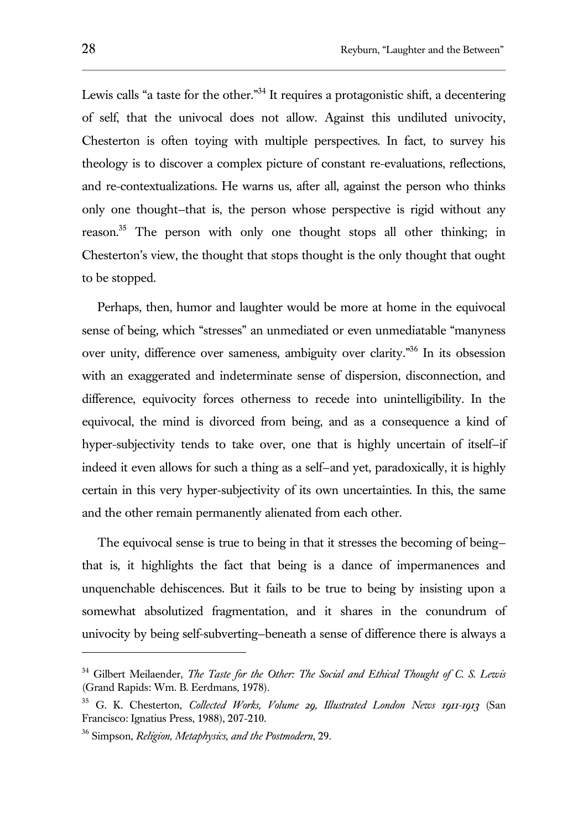Lewis calls "a taste for the other."<sup>34</sup> It requires a protagonistic shift, a decentering of self, that the univocal does not allow. Against this undiluted univocity, Chesterton is often toying with multiple perspectives. In fact, to survey his theology is to discover a complex picture of constant re-evaluations, reflections, and re-contextualizations. He warns us, after all, against the person who thinks only one thought—that is, the person whose perspective is rigid without any reason.<sup>35</sup> The person with only one thought stops all other thinking; in Chesterton's view, the thought that stops thought is the only thought that ought to be stopped.

Perhaps, then, humor and laughter would be more at home in the equivocal sense of being, which "stresses" an unmediated or even unmediatable "manyness over unity, difference over sameness, ambiguity over clarity."<sup>36</sup> In its obsession with an exaggerated and indeterminate sense of dispersion, disconnection, and difference, equivocity forces otherness to recede into unintelligibility. In the equivocal, the mind is divorced from being, and as a consequence a kind of hyper-subjectivity tends to take over, one that is highly uncertain of itself—if indeed it even allows for such a thing as a self—and yet, paradoxically, it is highly certain in this very hyper-subjectivity of its own uncertainties. In this, the same and the other remain permanently alienated from each other.

The equivocal sense is true to being in that it stresses the becoming of being that is, it highlights the fact that being is a dance of impermanences and unquenchable dehiscences. But it fails to be true to being by insisting upon a somewhat absolutized fragmentation, and it shares in the conundrum of univocity by being self-subverting—beneath a sense of difference there is always a

<sup>34</sup> Gilbert Meilaender, *The Taste for the Other: The Social and Ethical Thought of C. S. Lewis*  (Grand Rapids: Wm. B. Eerdmans, 1978).

<sup>35</sup> G. K. Chesterton, *Collected Works, Volume 29, Illustrated London News 1911-1913* (San Francisco: Ignatius Press, 1988), 207-210.

<sup>36</sup> Simpson, *Religion, Metaphysics, and the Postmodern*, 29.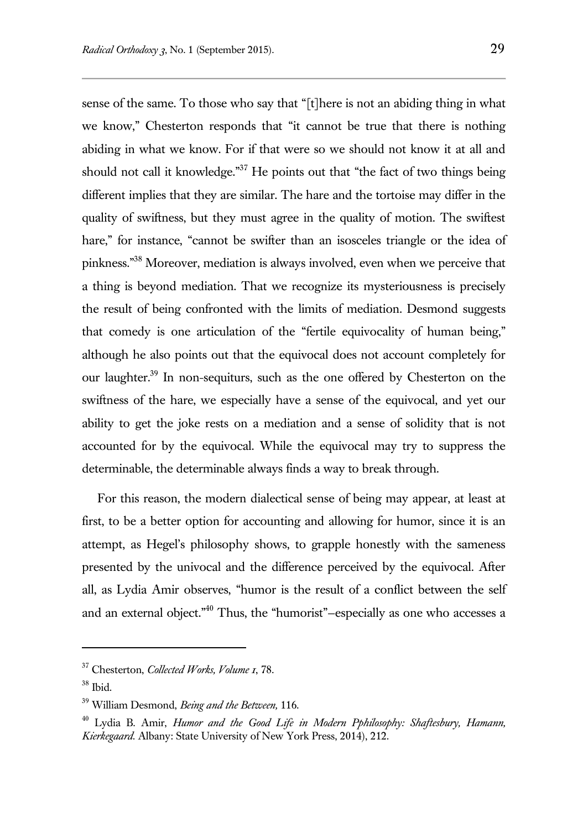sense of the same. To those who say that "[t]here is not an abiding thing in what we know," Chesterton responds that "it cannot be true that there is nothing abiding in what we know. For if that were so we should not know it at all and should not call it knowledge."<sup>37</sup> He points out that "the fact of two things being different implies that they are similar. The hare and the tortoise may differ in the quality of swiftness, but they must agree in the quality of motion. The swiftest hare," for instance, "cannot be swifter than an isosceles triangle or the idea of pinkness."<sup>38</sup> Moreover, mediation is always involved, even when we perceive that a thing is beyond mediation. That we recognize its mysteriousness is precisely the result of being confronted with the limits of mediation. Desmond suggests that comedy is one articulation of the "fertile equivocality of human being," although he also points out that the equivocal does not account completely for our laughter.<sup>39</sup> In non-sequiturs, such as the one offered by Chesterton on the swiftness of the hare, we especially have a sense of the equivocal, and yet our ability to get the joke rests on a mediation and a sense of solidity that is not accounted for by the equivocal. While the equivocal may try to suppress the determinable, the determinable always finds a way to break through.

For this reason, the modern dialectical sense of being may appear, at least at first, to be a better option for accounting and allowing for humor, since it is an attempt, as Hegel's philosophy shows, to grapple honestly with the sameness presented by the univocal and the difference perceived by the equivocal. After all, as Lydia Amir observes, "humor is the result of a conflict between the self and an external object."<sup>40</sup> Thus, the "humorist"–especially as one who accesses a

<sup>37</sup> Chesterton, *Collected Works, Volume 1*, 78.

<sup>38</sup> Ibid.

<sup>39</sup> William Desmond, *Being and the Between,* 116.

<sup>40</sup> Lydia B. Amir, *Humor and the Good Life in Modern Pphilosophy: Shaftesbury, Hamann, Kierkegaard.* Albany: State University of New York Press, 2014), 212.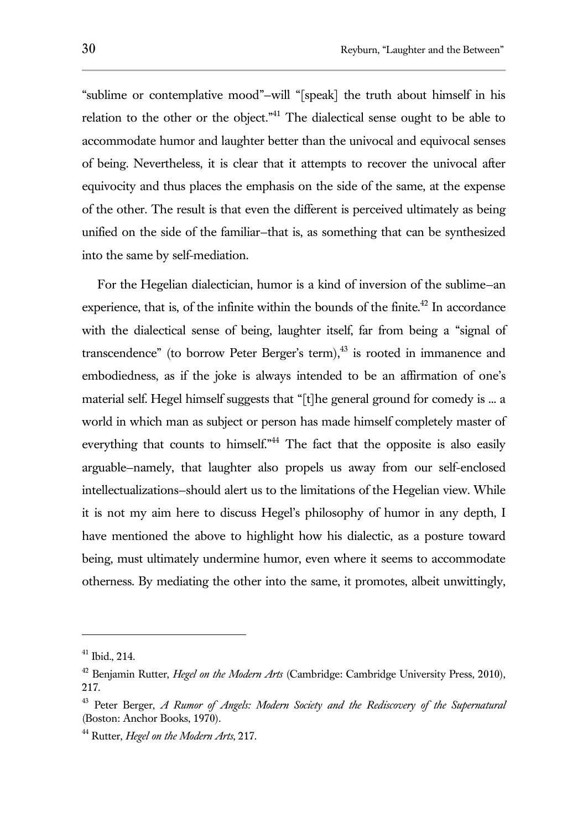"sublime or contemplative mood"—will "[speak] the truth about himself in his relation to the other or the object."<sup>41</sup> The dialectical sense ought to be able to accommodate humor and laughter better than the univocal and equivocal senses of being. Nevertheless, it is clear that it attempts to recover the univocal after equivocity and thus places the emphasis on the side of the same, at the expense of the other. The result is that even the different is perceived ultimately as being unified on the side of the familiar—that is, as something that can be synthesized into the same by self-mediation.

For the Hegelian dialectician, humor is a kind of inversion of the sublime—an experience, that is, of the infinite within the bounds of the finite.<sup>42</sup> In accordance with the dialectical sense of being, laughter itself, far from being a "signal of transcendence" (to borrow Peter Berger's term), $43$  is rooted in immanence and embodiedness, as if the joke is always intended to be an affirmation of one's material self. Hegel himself suggests that "[t]he general ground for comedy is ... a world in which man as subject or person has made himself completely master of everything that counts to himself."<sup>44</sup> The fact that the opposite is also easily arguable—namely, that laughter also propels us away from our self-enclosed intellectualizations—should alert us to the limitations of the Hegelian view. While it is not my aim here to discuss Hegel's philosophy of humor in any depth, I have mentioned the above to highlight how his dialectic, as a posture toward being, must ultimately undermine humor, even where it seems to accommodate otherness. By mediating the other into the same, it promotes, albeit unwittingly,

<sup>41</sup> Ibid., 214.

<sup>&</sup>lt;sup>42</sup> Benjamin Rutter, *Hegel on the Modern Arts* (Cambridge: Cambridge University Press, 2010), 217.

<sup>43</sup> Peter Berger, *A Rumor of Angels: Modern Society and the Rediscovery of the Supernatural*  (Boston: Anchor Books, 1970).

<sup>44</sup> Rutter, *Hegel on the Modern Arts*, 217.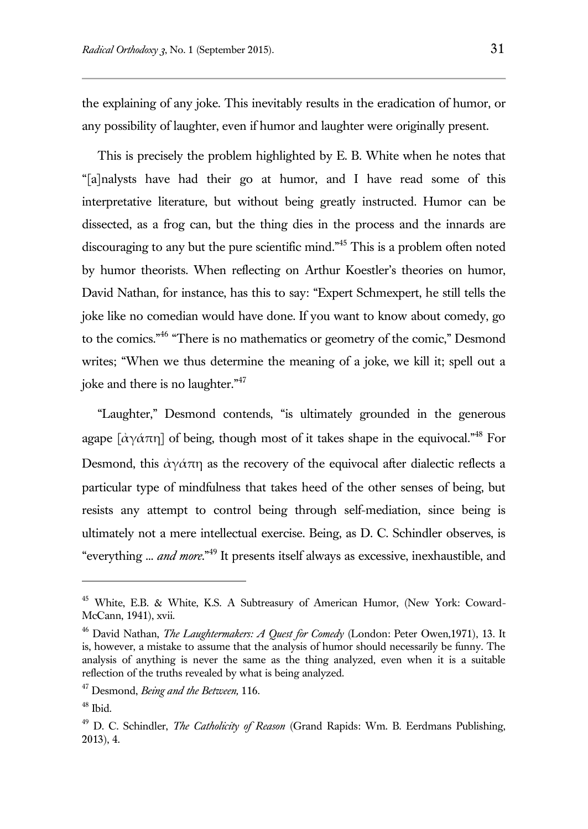the explaining of any joke. This inevitably results in the eradication of humor, or any possibility of laughter, even if humor and laughter were originally present.

This is precisely the problem highlighted by E. B. White when he notes that "[a]nalysts have had their go at humor, and I have read some of this interpretative literature, but without being greatly instructed. Humor can be dissected, as a frog can, but the thing dies in the process and the innards are discouraging to any but the pure scientific mind."<sup>45</sup> This is a problem often noted by humor theorists. When reflecting on Arthur Koestler's theories on humor, David Nathan, for instance, has this to say: "Expert Schmexpert, he still tells the joke like no comedian would have done. If you want to know about comedy, go to the comics."<sup>46</sup> "There is no mathematics or geometry of the comic," Desmond writes; "When we thus determine the meaning of a joke, we kill it; spell out a joke and there is no laughter."<sup>47</sup>

"Laughter," Desmond contends, "is ultimately grounded in the generous agape  $\left[\frac{\dot{\alpha}}{\gamma \dot{\alpha}} \pi \eta\right]$  of being, though most of it takes shape in the equivocal.<sup>"48</sup> For Desmond, this  $\dot{\alpha} \gamma \dot{\alpha} \pi \eta$  as the recovery of the equivocal after dialectic reflects a particular type of mindfulness that takes heed of the other senses of being, but resists any attempt to control being through self-mediation, since being is ultimately not a mere intellectual exercise. Being, as D. C. Schindler observes, is "everything ... *and more*." <sup>49</sup> It presents itself always as excessive, inexhaustible, and

<sup>&</sup>lt;sup>45</sup> White, E.B. & White, K.S. A Subtreasury of American Humor, (New York: Coward-McCann, 1941), xvii.

<sup>46</sup> David Nathan, *The Laughtermakers: A Quest for Comedy* (London: Peter Owen,1971), 13. It is, however, a mistake to assume that the analysis of humor should necessarily be funny. The analysis of anything is never the same as the thing analyzed, even when it is a suitable reflection of the truths revealed by what is being analyzed.

<sup>47</sup> Desmond, *Being and the Between,* 116.

 $48$  Ibid.

<sup>49</sup> D. C. Schindler, *The Catholicity of Reason* (Grand Rapids: Wm. B. Eerdmans Publishing, 2013), 4.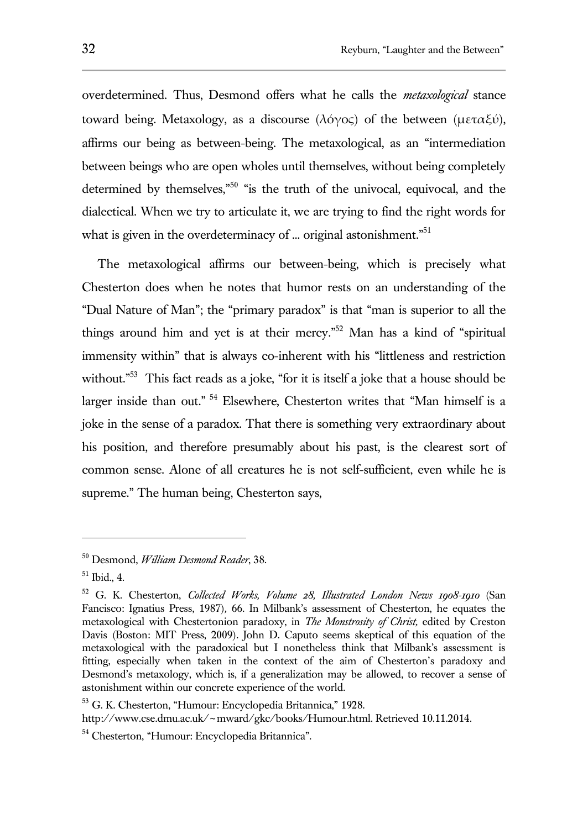overdetermined. Thus, Desmond offers what he calls the *metaxological* stance toward being. Metaxology, as a discourse (λόγος) of the between (μεταξύ), affirms our being as between-being. The metaxological, as an "intermediation between beings who are open wholes until themselves, without being completely determined by themselves,"<sup>50</sup> "is the truth of the univocal, equivocal, and the dialectical. When we try to articulate it, we are trying to find the right words for what is given in the overdeterminacy of ... original astonishment."<sup>51</sup>

The metaxological affirms our between-being, which is precisely what Chesterton does when he notes that humor rests on an understanding of the "Dual Nature of Man"; the "primary paradox" is that "man is superior to all the things around him and yet is at their mercy."<sup>52</sup> Man has a kind of "spiritual immensity within" that is always co-inherent with his "littleness and restriction without."<sup>53</sup> This fact reads as a joke, "for it is itself a joke that a house should be larger inside than out." <sup>54</sup> Elsewhere, Chesterton writes that "Man himself is a joke in the sense of a paradox. That there is something very extraordinary about his position, and therefore presumably about his past, is the clearest sort of common sense. Alone of all creatures he is not self-sufficient, even while he is supreme." The human being, Chesterton says,

<sup>50</sup> Desmond, *William Desmond Reader*, 38.

<sup>51</sup> Ibid., 4.

<sup>52</sup> G. K. Chesterton, *Collected Works, Volume 28, Illustrated London News 1908-1910* (San Fancisco: Ignatius Press, 1987)*,* 66. In Milbank's assessment of Chesterton, he equates the metaxological with Chestertonion paradoxy, in *The Monstrosity of Christ,* edited by Creston Davis (Boston: MIT Press, 2009). John D. Caputo seems skeptical of this equation of the metaxological with the paradoxical but I nonetheless think that Milbank's assessment is fitting, especially when taken in the context of the aim of Chesterton's paradoxy and Desmond's metaxology, which is, if a generalization may be allowed, to recover a sense of astonishment within our concrete experience of the world.

<sup>53</sup> G. K. Chesterton, "Humour: Encyclopedia Britannica," 1928. http://www.cse.dmu.ac.uk/~mward/gkc/books/Humour.html. Retrieved 10.11.2014.

<sup>54</sup> Chesterton, "Humour: Encyclopedia Britannica".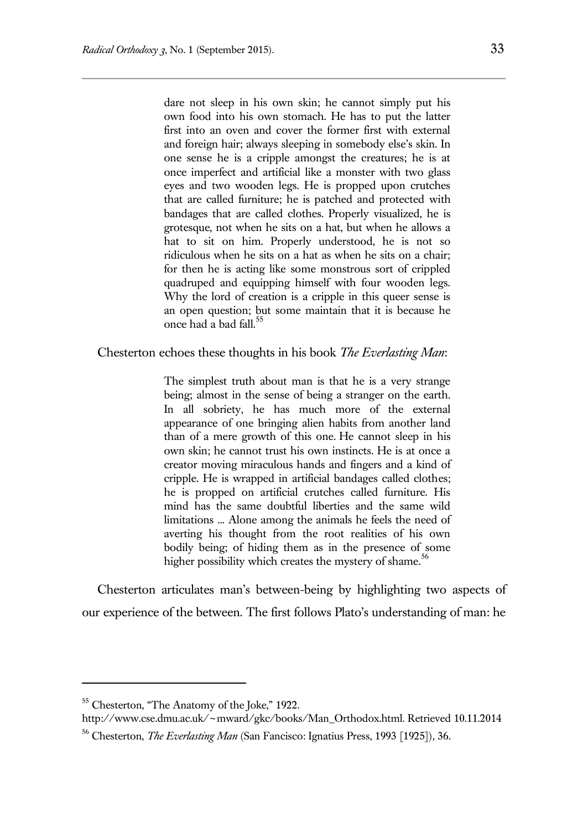dare not sleep in his own skin; he cannot simply put his own food into his own stomach. He has to put the latter first into an oven and cover the former first with external and foreign hair; always sleeping in somebody else's skin. In one sense he is a cripple amongst the creatures; he is at once imperfect and artificial like a monster with two glass eyes and two wooden legs. He is propped upon crutches that are called furniture; he is patched and protected with bandages that are called clothes. Properly visualized, he is grotesque, not when he sits on a hat, but when he allows a hat to sit on him. Properly understood, he is not so ridiculous when he sits on a hat as when he sits on a chair; for then he is acting like some monstrous sort of crippled quadruped and equipping himself with four wooden legs. Why the lord of creation is a cripple in this queer sense is an open question; but some maintain that it is because he once had a bad fall.<sup>55</sup>

Chesterton echoes these thoughts in his book *The Everlasting Man*:

The simplest truth about man is that he is a very strange being; almost in the sense of being a stranger on the earth. In all sobriety, he has much more of the external appearance of one bringing alien habits from another land than of a mere growth of this one. He cannot sleep in his own skin; he cannot trust his own instincts. He is at once a creator moving miraculous hands and fingers and a kind of cripple. He is wrapped in artificial bandages called clothes; he is propped on artificial crutches called furniture. His mind has the same doubtful liberties and the same wild limitations ... Alone among the animals he feels the need of averting his thought from the root realities of his own bodily being; of hiding them as in the presence of some higher possibility which creates the mystery of shame.<sup>56</sup>

Chesterton articulates man's between-being by highlighting two aspects of our experience of the between. The first follows Plato's understanding of man: he

<sup>55</sup> Chesterton, "The Anatomy of the Joke," 1922.

http://www.cse.dmu.ac.uk/~mward/gkc/books/Man\_Orthodox.html. Retrieved 10.11.2014

<sup>56</sup> Chesterton, *The Everlasting Man* (San Fancisco: Ignatius Press, 1993 [1925])*,* 36.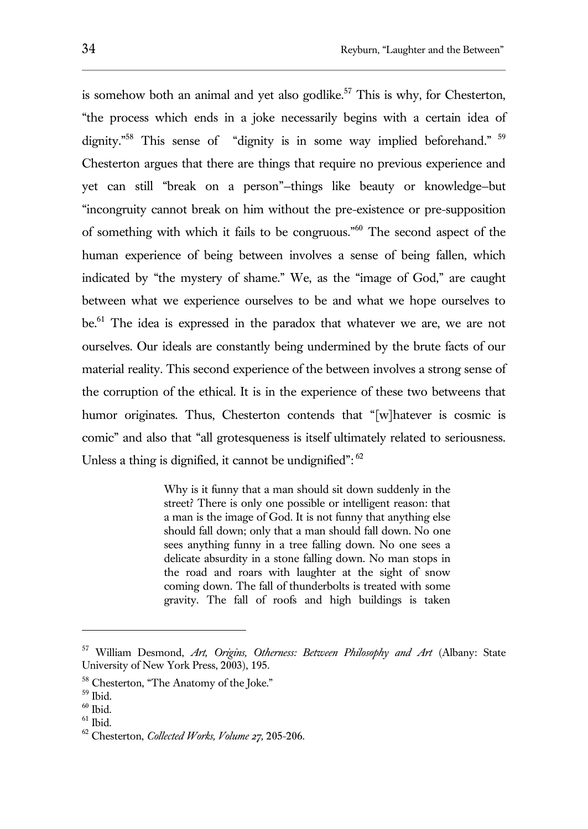is somehow both an animal and yet also godlike.<sup>57</sup> This is why, for Chesterton, "the process which ends in a joke necessarily begins with a certain idea of dignity.<sup>"58</sup> This sense of "dignity is in some way implied beforehand." <sup>59</sup> Chesterton argues that there are things that require no previous experience and yet can still "break on a person"—things like beauty or knowledge—but "incongruity cannot break on him without the pre-existence or pre-supposition of something with which it fails to be congruous."<sup>60</sup> The second aspect of the human experience of being between involves a sense of being fallen, which indicated by "the mystery of shame." We, as the "image of God," are caught between what we experience ourselves to be and what we hope ourselves to be.<sup>61</sup> The idea is expressed in the paradox that whatever we are, we are not ourselves. Our ideals are constantly being undermined by the brute facts of our material reality. This second experience of the between involves a strong sense of the corruption of the ethical. It is in the experience of these two betweens that humor originates. Thus, Chesterton contends that "[w]hatever is cosmic is comic" and also that "all grotesqueness is itself ultimately related to seriousness. Unless a thing is dignified, it cannot be undignified": $62$ 

> Why is it funny that a man should sit down suddenly in the street? There is only one possible or intelligent reason: that a man is the image of God. It is not funny that anything else should fall down; only that a man should fall down. No one sees anything funny in a tree falling down. No one sees a delicate absurdity in a stone falling down. No man stops in the road and roars with laughter at the sight of snow coming down. The fall of thunderbolts is treated with some gravity. The fall of roofs and high buildings is taken

<sup>57</sup> William Desmond, *Art, Origins, Otherness: Between Philosophy and Art* (Albany: State University of New York Press, 2003), 195.

<sup>&</sup>lt;sup>58</sup> Chesterton, "The Anatomy of the Joke."

<sup>59</sup> Ibid.

 $60$  Ibid.

 $61$  Ibid.

<sup>62</sup> Chesterton, *Collected Works, Volume 27,* 205-206.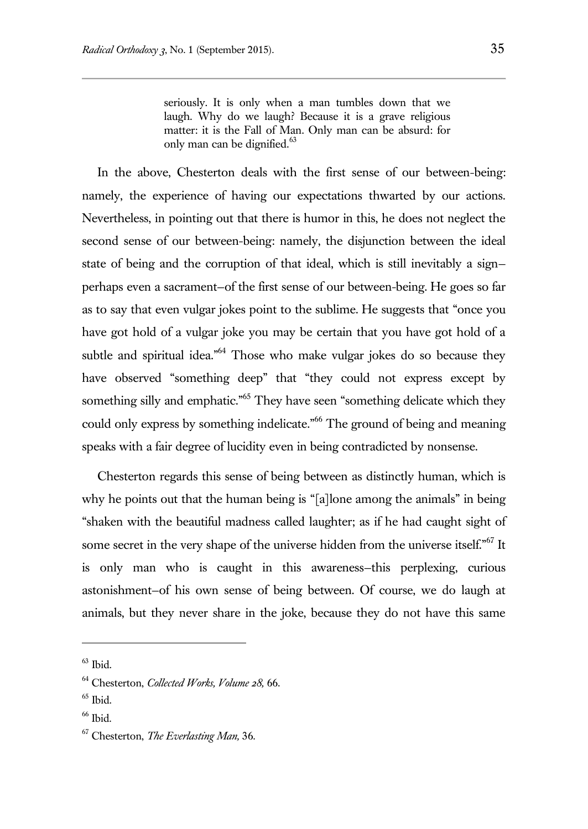seriously. It is only when a man tumbles down that we laugh. Why do we laugh? Because it is a grave religious matter: it is the Fall of Man. Only man can be absurd: for only man can be dignified.<sup>63</sup>

In the above, Chesterton deals with the first sense of our between-being: namely, the experience of having our expectations thwarted by our actions. Nevertheless, in pointing out that there is humor in this, he does not neglect the second sense of our between-being: namely, the disjunction between the ideal state of being and the corruption of that ideal, which is still inevitably a sign perhaps even a sacrament—of the first sense of our between-being. He goes so far as to say that even vulgar jokes point to the sublime. He suggests that "once you have got hold of a vulgar joke you may be certain that you have got hold of a subtle and spiritual idea."<sup>64</sup> Those who make vulgar jokes do so because they have observed "something deep" that "they could not express except by something silly and emphatic."<sup>65</sup> They have seen "something delicate which they could only express by something indelicate."<sup>66</sup> The ground of being and meaning speaks with a fair degree of lucidity even in being contradicted by nonsense.

Chesterton regards this sense of being between as distinctly human, which is why he points out that the human being is "[a]lone among the animals" in being "shaken with the beautiful madness called laughter; as if he had caught sight of some secret in the very shape of the universe hidden from the universe itself."<sup>67</sup> It is only man who is caught in this awareness—this perplexing, curious astonishment—of his own sense of being between. Of course, we do laugh at animals, but they never share in the joke, because they do not have this same

 $63$  Ibid.

<sup>64</sup> Chesterton, *Collected Works, Volume 28,* 66.

 $65$  Ibid.

<sup>&</sup>lt;sup>66</sup> Ibid.

<sup>67</sup> Chesterton, *The Everlasting Man,* 36.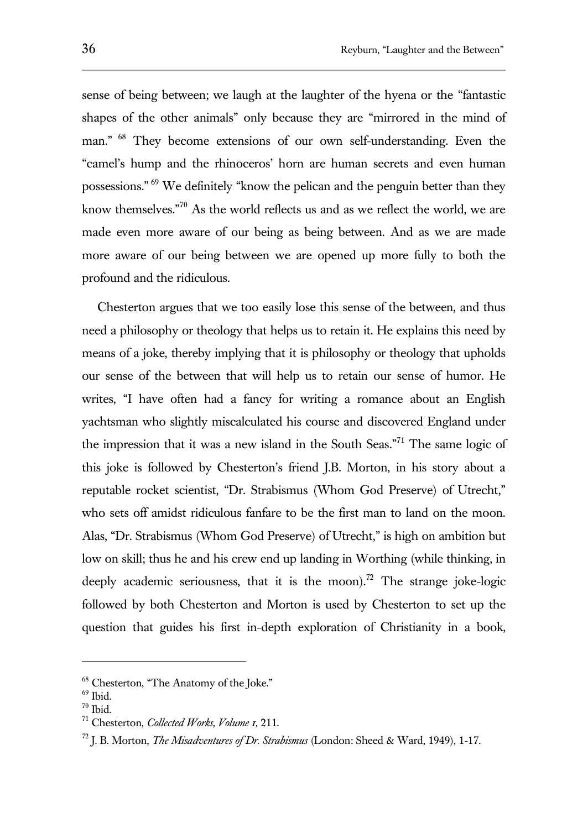sense of being between; we laugh at the laughter of the hyena or the "fantastic shapes of the other animals" only because they are "mirrored in the mind of man." <sup>68</sup> They become extensions of our own self-understanding. Even the "camel's hump and the rhinoceros' horn are human secrets and even human possessions." <sup>69</sup> We definitely "know the pelican and the penguin better than they know themselves."<sup>70</sup> As the world reflects us and as we reflect the world, we are made even more aware of our being as being between. And as we are made more aware of our being between we are opened up more fully to both the profound and the ridiculous.

Chesterton argues that we too easily lose this sense of the between, and thus need a philosophy or theology that helps us to retain it. He explains this need by means of a joke, thereby implying that it is philosophy or theology that upholds our sense of the between that will help us to retain our sense of humor. He writes, "I have often had a fancy for writing a romance about an English yachtsman who slightly miscalculated his course and discovered England under the impression that it was a new island in the South Seas."<sup>71</sup> The same logic of this joke is followed by Chesterton's friend J.B. Morton, in his story about a reputable rocket scientist, "Dr. Strabismus (Whom God Preserve) of Utrecht," who sets off amidst ridiculous fanfare to be the first man to land on the moon. Alas, "Dr. Strabismus (Whom God Preserve) of Utrecht," is high on ambition but low on skill; thus he and his crew end up landing in Worthing (while thinking, in deeply academic seriousness, that it is the moon).<sup>72</sup> The strange joke-logic followed by both Chesterton and Morton is used by Chesterton to set up the question that guides his first in-depth exploration of Christianity in a book,

<sup>68</sup> Chesterton, "The Anatomy of the Joke."

 $69$  Ibid.

 $70$  Ibid.

<sup>71</sup> Chesterton, *Collected Works, Volume 1,* 211.

<sup>72</sup> J. B. Morton, *The Misadventures of Dr. Strabismus* (London: Sheed & Ward, 1949), 1-17.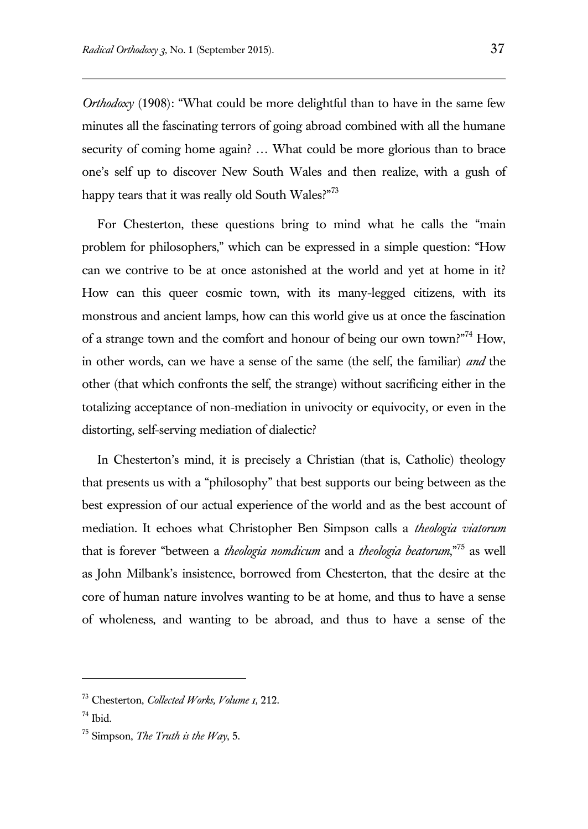*Orthodoxy* (1908): "What could be more delightful than to have in the same few minutes all the fascinating terrors of going abroad combined with all the humane security of coming home again? ... What could be more glorious than to brace one's self up to discover New South Wales and then realize, with a gush of happy tears that it was really old South Wales?"<sup>73</sup>

For Chesterton, these questions bring to mind what he calls the "main problem for philosophers," which can be expressed in a simple question: "How can we contrive to be at once astonished at the world and yet at home in it? How can this queer cosmic town, with its many-legged citizens, with its monstrous and ancient lamps, how can this world give us at once the fascination of a strange town and the comfort and honour of being our own town?"<sup>74</sup> How, in other words, can we have a sense of the same (the self, the familiar) *and* the other (that which confronts the self, the strange) without sacrificing either in the totalizing acceptance of non-mediation in univocity or equivocity, or even in the distorting, self-serving mediation of dialectic?

In Chesterton's mind, it is precisely a Christian (that is, Catholic) theology that presents us with a "philosophy" that best supports our being between as the best expression of our actual experience of the world and as the best account of mediation. It echoes what Christopher Ben Simpson calls a *theologia viatorum*  that is forever "between a *theologia nomdicum* and a *theologia beatorum*,"<sup>75</sup> as well as John Milbank's insistence, borrowed from Chesterton, that the desire at the core of human nature involves wanting to be at home, and thus to have a sense of wholeness, and wanting to be abroad, and thus to have a sense of the

<sup>73</sup> Chesterton, *Collected Works, Volume 1,* 212.

<sup>74</sup> Ibid.

<sup>75</sup> Simpson, *The Truth is the Way*, 5.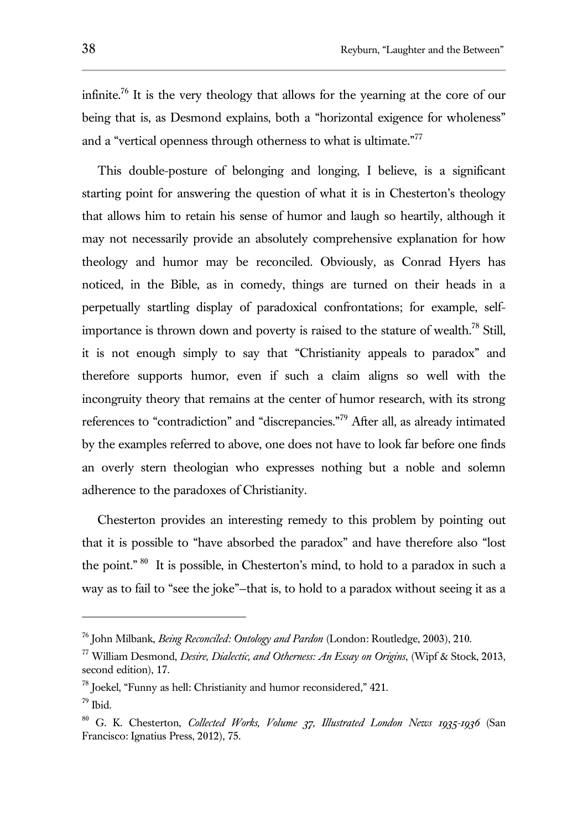infinite.<sup>76</sup> It is the very theology that allows for the vearning at the core of our being that is, as Desmond explains, both a "horizontal exigence for wholeness" and a "vertical openness through otherness to what is ultimate."<sup>77</sup>

This double-posture of belonging and longing, I believe, is a significant starting point for answering the question of what it is in Chesterton's theology that allows him to retain his sense of humor and laugh so heartily, although it may not necessarily provide an absolutely comprehensive explanation for how theology and humor may be reconciled. Obviously, as Conrad Hyers has noticed, in the Bible, as in comedy, things are turned on their heads in a perpetually startling display of paradoxical confrontations; for example, selfimportance is thrown down and poverty is raised to the stature of wealth.<sup>78</sup> Still, it is not enough simply to say that "Christianity appeals to paradox" and therefore supports humor, even if such a claim aligns so well with the incongruity theory that remains at the center of humor research, with its strong references to "contradiction" and "discrepancies."<sup>79</sup> After all, as already intimated by the examples referred to above, one does not have to look far before one finds an overly stern theologian who expresses nothing but a noble and solemn adherence to the paradoxes of Christianity.

Chesterton provides an interesting remedy to this problem by pointing out that it is possible to "have absorbed the paradox" and have therefore also "lost the point." <sup>80</sup> It is possible, in Chesterton's mind, to hold to a paradox in such a way as to fail to "see the joke"—that is, to hold to a paradox without seeing it as a

<sup>76</sup> John Milbank, *Being Reconciled: Ontology and Pardon* (London: Routledge, 2003), 210.

<sup>77</sup> William Desmond, *Desire, Dialectic, and Otherness: An Essay on Origins*, (Wipf & Stock, 2013, second edition), 17.

<sup>78</sup> Joekel, "Funny as hell: Christianity and humor reconsidered," 421.

 $79$  Ibid.

<sup>80</sup> G. K. Chesterton, *Collected Works, Volume 37, Illustrated London News 1935-1936* (San Francisco: Ignatius Press, 2012), 75.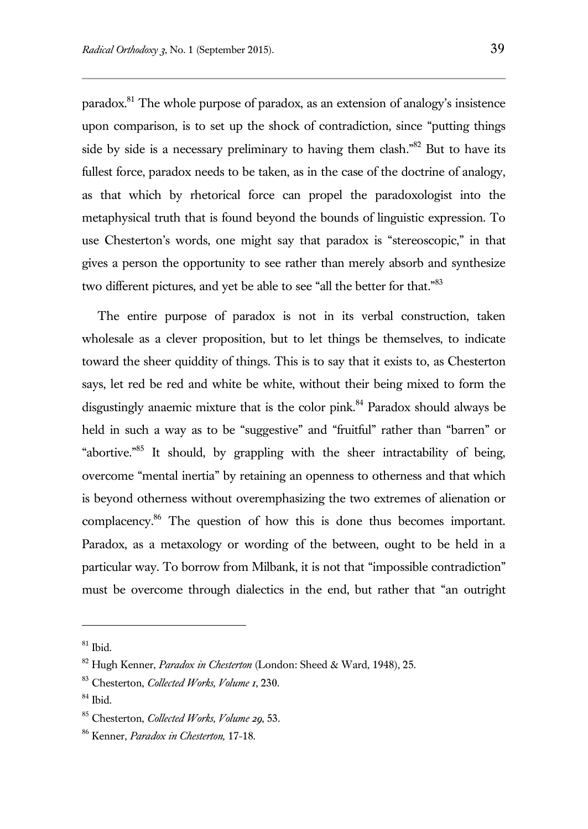paradox.<sup>81</sup> The whole purpose of paradox, as an extension of analogy's insistence upon comparison, is to set up the shock of contradiction, since "putting things side by side is a necessary preliminary to having them clash."<sup>82</sup> But to have its fullest force, paradox needs to be taken, as in the case of the doctrine of analogy, as that which by rhetorical force can propel the paradoxologist into the metaphysical truth that is found beyond the bounds of linguistic expression. To use Chesterton's words, one might say that paradox is "stereoscopic," in that gives a person the opportunity to see rather than merely absorb and synthesize two different pictures, and yet be able to see "all the better for that."<sup>83</sup>

The entire purpose of paradox is not in its verbal construction, taken wholesale as a clever proposition, but to let things be themselves, to indicate toward the sheer quiddity of things. This is to say that it exists to, as Chesterton says, let red be red and white be white, without their being mixed to form the disgustingly anaemic mixture that is the color pink.<sup>84</sup> Paradox should always be held in such a way as to be "suggestive" and "fruitful" rather than "barren" or "abortive."<sup>85</sup> It should, by grappling with the sheer intractability of being, overcome "mental inertia" by retaining an openness to otherness and that which is beyond otherness without overemphasizing the two extremes of alienation or complacency.<sup>86</sup> The question of how this is done thus becomes important. Paradox, as a metaxology or wording of the between, ought to be held in a particular way. To borrow from Milbank, it is not that "impossible contradiction" must be overcome through dialectics in the end, but rather that "an outright

 $81$  Ibid.

<sup>82</sup> Hugh Kenner, *Paradox in Chesterton* (London: Sheed & Ward*,* 1948), 25.

<sup>83</sup> Chesterton, *Collected Works, Volume 1*, 230.

 $84$  Ibid.

<sup>85</sup> Chesterton, *Collected Works, Volume 29*, 53.

<sup>86</sup> Kenner, *Paradox in Chesterton,* 17-18.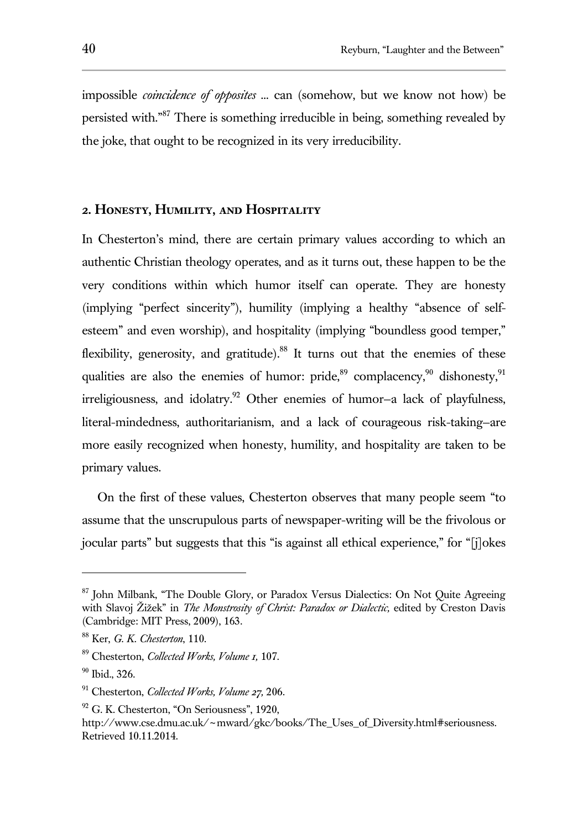impossible *coincidence of opposites ...* can (somehow, but we know not how) be persisted with."<sup>87</sup> There is something irreducible in being, something revealed by the joke, that ought to be recognized in its very irreducibility.

## **2. Honesty, Humility, and Hospitality**

In Chesterton's mind, there are certain primary values according to which an authentic Christian theology operates, and as it turns out, these happen to be the very conditions within which humor itself can operate. They are honesty (implying "perfect sincerity"), humility (implying a healthy "absence of selfesteem" and even worship), and hospitality (implying "boundless good temper," flexibility, generosity, and gratitude).<sup>88</sup> It turns out that the enemies of these qualities are also the enemies of humor: pride,  $89^{\circ}$  complacency,  $90^{\circ}$  dishonesty,  $91^{\circ}$  $irreligiousness$ , and idolatry.<sup>92</sup> Other enemies of humor-a lack of playfulness, literal-mindedness, authoritarianism, and a lack of courageous risk-taking—are more easily recognized when honesty, humility, and hospitality are taken to be primary values.

On the first of these values, Chesterton observes that many people seem "to assume that the unscrupulous parts of newspaper-writing will be the frivolous or jocular parts" but suggests that this "is against all ethical experience," for "[j]okes

<sup>&</sup>lt;sup>87</sup> John Milbank, "The Double Glory, or Paradox Versus Dialectics: On Not Quite Agreeing with Slavoj Žižek" in *The Monstrosity of Christ: Paradox or Dialectic*, edited by Creston Davis (Cambridge: MIT Press, 2009), 163.

<sup>88</sup> Ker, *G. K. Chesterton*, 110.

<sup>89</sup> Chesterton, *Collected Works, Volume 1,* 107.

 $^{90}$  Ibid., 326.

<sup>91</sup> Chesterton, *Collected Works, Volume 27,* 206.

 $92$  G. K. Chesterton, "On Seriousness", 1920,

http://www.cse.dmu.ac.uk/~mward/gkc/books/The\_Uses\_of\_Diversity.html#seriousness. Retrieved 10.11.2014.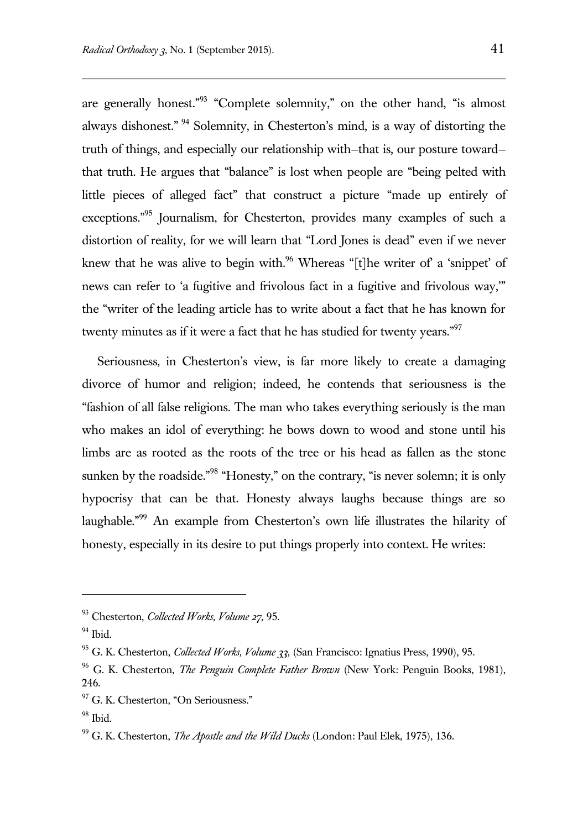are generally honest."<sup>93</sup> "Complete solemnity," on the other hand, "is almost always dishonest." <sup>94</sup> Solemnity, in Chesterton's mind, is a way of distorting the truth of things, and especially our relationship with—that is, our posture toward that truth. He argues that "balance" is lost when people are "being pelted with little pieces of alleged fact" that construct a picture "made up entirely of exceptions."<sup>95</sup> Journalism, for Chesterton, provides many examples of such a distortion of reality, for we will learn that "Lord Jones is dead" even if we never knew that he was alive to begin with.<sup>96</sup> Whereas "[t]he writer of a 'snippet' of news can refer to 'a fugitive and frivolous fact in a fugitive and frivolous way,'" the "writer of the leading article has to write about a fact that he has known for twenty minutes as if it were a fact that he has studied for twenty years."<sup>97</sup>

Seriousness, in Chesterton's view, is far more likely to create a damaging divorce of humor and religion; indeed, he contends that seriousness is the "fashion of all false religions. The man who takes everything seriously is the man who makes an idol of everything: he bows down to wood and stone until his limbs are as rooted as the roots of the tree or his head as fallen as the stone sunken by the roadside."<sup>98</sup> "Honesty," on the contrary, "is never solemn; it is only hypocrisy that can be that. Honesty always laughs because things are so laughable."<sup>99</sup> An example from Chesterton's own life illustrates the hilarity of honesty, especially in its desire to put things properly into context. He writes:

<sup>93</sup> Chesterton, *Collected Works, Volume 27,* 95.

 $94$  Ibid.

<sup>95</sup> G. K. Chesterton, *Collected Works, Volume 33,* (San Francisco: Ignatius Press, 1990), 95.

<sup>96</sup> G. K. Chesterton, *The Penguin Complete Father Brown* (New York: Penguin Books, 1981), 246.

<sup>&</sup>lt;sup>97</sup> G. K. Chesterton, "On Seriousness."

 $98$  Ibid.

<sup>99</sup> G. K. Chesterton, *The Apostle and the Wild Ducks* (London: Paul Elek, 1975), 136.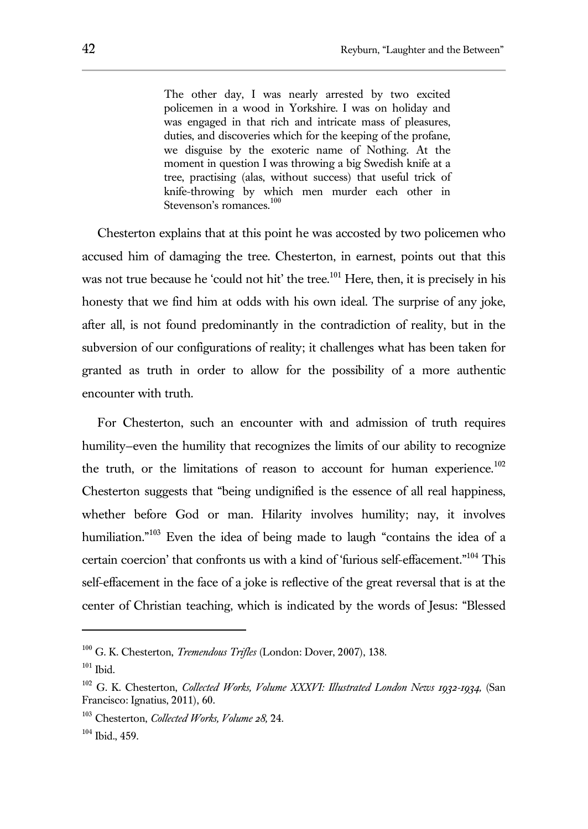The other day, I was nearly arrested by two excited policemen in a wood in Yorkshire. I was on holiday and was engaged in that rich and intricate mass of pleasures, duties, and discoveries which for the keeping of the profane, we disguise by the exoteric name of Nothing. At the moment in question I was throwing a big Swedish knife at a tree, practising (alas, without success) that useful trick of knife-throwing by which men murder each other in Stevenson's romances.<sup>100</sup>

Chesterton explains that at this point he was accosted by two policemen who accused him of damaging the tree. Chesterton, in earnest, points out that this was not true because he 'could not hit' the tree.<sup>101</sup> Here, then, it is precisely in his honesty that we find him at odds with his own ideal. The surprise of any joke, after all, is not found predominantly in the contradiction of reality, but in the subversion of our configurations of reality; it challenges what has been taken for granted as truth in order to allow for the possibility of a more authentic encounter with truth.

For Chesterton, such an encounter with and admission of truth requires humility—even the humility that recognizes the limits of our ability to recognize the truth, or the limitations of reason to account for human experience.<sup>102</sup> Chesterton suggests that "being undignified is the essence of all real happiness, whether before God or man. Hilarity involves humility; nay, it involves humiliation."<sup>103</sup> Even the idea of being made to laugh "contains the idea of a certain coercion' that confronts us with a kind of 'furious self-effacement."<sup>104</sup> This self-effacement in the face of a joke is reflective of the great reversal that is at the center of Christian teaching, which is indicated by the words of Jesus: "Blessed

<sup>100</sup> G. K. Chesterton, *Tremendous Trifles* (London: Dover, 2007), 138.

 $101$  Ibid.

<sup>102</sup> G. K. Chesterton, *Collected Works, Volume XXXVI: Illustrated London News 1932-1934,* (San Francisco: Ignatius, 2011), 60.

<sup>103</sup> Chesterton, *Collected Works, Volume 28,* 24.

<sup>104</sup> Ibid., 459.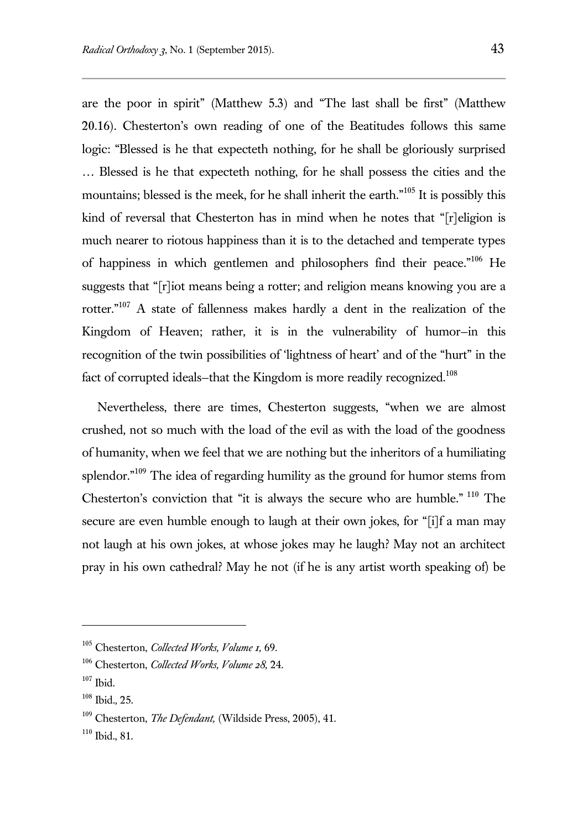are the poor in spirit" (Matthew 5.3) and "The last shall be first" (Matthew 20.16). Chesterton's own reading of one of the Beatitudes follows this same logic: "Blessed is he that expecteth nothing, for he shall be gloriously surprised … Blessed is he that expecteth nothing, for he shall possess the cities and the mountains; blessed is the meek, for he shall inherit the earth."<sup>105</sup> It is possibly this kind of reversal that Chesterton has in mind when he notes that "[r]eligion is much nearer to riotous happiness than it is to the detached and temperate types of happiness in which gentlemen and philosophers find their peace."<sup>106</sup> He suggests that "[r]iot means being a rotter; and religion means knowing you are a rotter."<sup>107</sup> A state of fallenness makes hardly a dent in the realization of the Kingdom of Heaven; rather, it is in the vulnerability of humor—in this recognition of the twin possibilities of 'lightness of heart' and of the "hurt" in the fact of corrupted ideals–that the Kingdom is more readily recognized.<sup>108</sup>

Nevertheless, there are times, Chesterton suggests, "when we are almost crushed, not so much with the load of the evil as with the load of the goodness of humanity, when we feel that we are nothing but the inheritors of a humiliating splendor. $109$  The idea of regarding humility as the ground for humor stems from Chesterton's conviction that "it is always the secure who are humble." <sup>110</sup> The secure are even humble enough to laugh at their own jokes, for "[i]f a man may not laugh at his own jokes, at whose jokes may he laugh? May not an architect pray in his own cathedral? May he not (if he is any artist worth speaking of) be

<sup>105</sup> Chesterton, *Collected Works, Volume 1,* 69.

<sup>106</sup> Chesterton, *Collected Works, Volume 28,* 24.

 $107$  Ibid.

<sup>108</sup> Ibid.*,* 25.

<sup>109</sup> Chesterton, *The Defendant,* (Wildside Press, 2005), 41.

 $110$  Ibid., 81.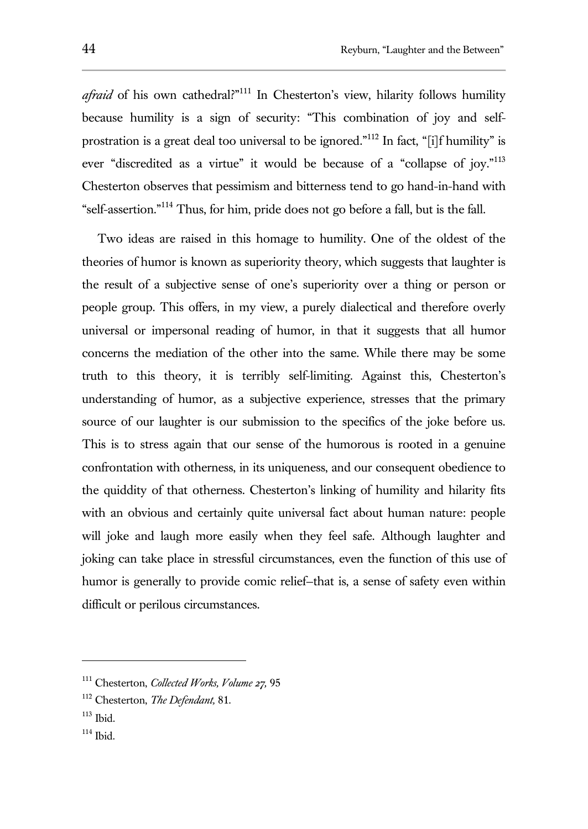ever "discredited as a virtue" it would be because of a "collapse of joy."<sup>113</sup> Chesterton observes that pessimism and bitterness tend to go hand-in-hand with "self-assertion."<sup>114</sup> Thus, for him, pride does not go before a fall, but is the fall.

Two ideas are raised in this homage to humility. One of the oldest of the theories of humor is known as superiority theory, which suggests that laughter is the result of a subjective sense of one's superiority over a thing or person or people group. This offers, in my view, a purely dialectical and therefore overly universal or impersonal reading of humor, in that it suggests that all humor concerns the mediation of the other into the same. While there may be some truth to this theory, it is terribly self-limiting. Against this, Chesterton's understanding of humor, as a subjective experience, stresses that the primary source of our laughter is our submission to the specifics of the joke before us. This is to stress again that our sense of the humorous is rooted in a genuine confrontation with otherness, in its uniqueness, and our consequent obedience to the quiddity of that otherness. Chesterton's linking of humility and hilarity fits with an obvious and certainly quite universal fact about human nature: people will joke and laugh more easily when they feel safe. Although laughter and joking can take place in stressful circumstances, even the function of this use of humor is generally to provide comic relief—that is, a sense of safety even within difficult or perilous circumstances.

<sup>111</sup> Chesterton, *Collected Works, Volume 27,* 95

<sup>112</sup> Chesterton, *The Defendant,* 81.

<sup>113</sup> Ibid.

<sup>114</sup> Ibid.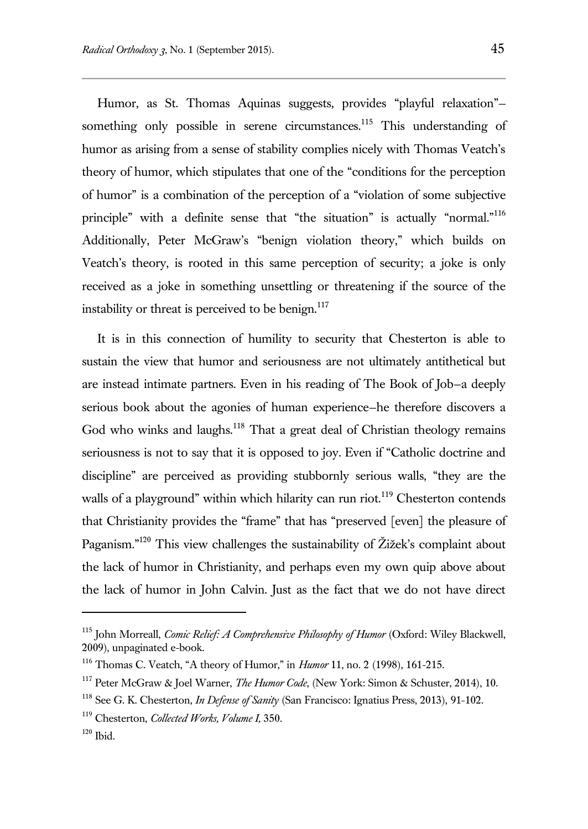Humor, as St. Thomas Aquinas suggests, provides "playful relaxation" something only possible in serene circumstances.<sup>115</sup> This understanding of humor as arising from a sense of stability complies nicely with Thomas Veatch's theory of humor, which stipulates that one of the "conditions for the perception of humor" is a combination of the perception of a "violation of some subjective principle" with a definite sense that "the situation" is actually "normal."<sup>116</sup> Additionally, Peter McGraw's "benign violation theory," which builds on Veatch's theory, is rooted in this same perception of security; a joke is only received as a joke in something unsettling or threatening if the source of the instability or threat is perceived to be benign. $117$ 

It is in this connection of humility to security that Chesterton is able to sustain the view that humor and seriousness are not ultimately antithetical but are instead intimate partners. Even in his reading of The Book of Job—a deeply serious book about the agonies of human experience—he therefore discovers a God who winks and laughs.<sup>118</sup> That a great deal of Christian theology remains seriousness is not to say that it is opposed to joy. Even if "Catholic doctrine and discipline" are perceived as providing stubbornly serious walls, "they are the walls of a playground" within which hilarity can run riot.<sup>119</sup> Chesterton contends that Christianity provides the "frame" that has "preserved [even] the pleasure of Paganism."<sup>120</sup> This view challenges the sustainability of Žižek's complaint about the lack of humor in Christianity, and perhaps even my own quip above about the lack of humor in John Calvin. Just as the fact that we do not have direct

<sup>115</sup> John Morreall, *Comic Relief: A Comprehensive Philosophy of Humor* (Oxford: Wiley Blackwell, 2009), unpaginated e-book.

<sup>116</sup> Thomas C. Veatch, "A theory of Humor," in *Humor* 11, no. 2 (1998), 161-215.

<sup>117</sup> Peter McGraw & Joel Warner, *The Humor Code*, (New York: Simon & Schuster, 2014), 10.

<sup>118</sup> See G. K. Chesterton, *In Defense of Sanity* (San Francisco: Ignatius Press, 2013), 91-102.

<sup>119</sup> Chesterton, *Collected Works, Volume I,* 350.

 $120$  Ibid.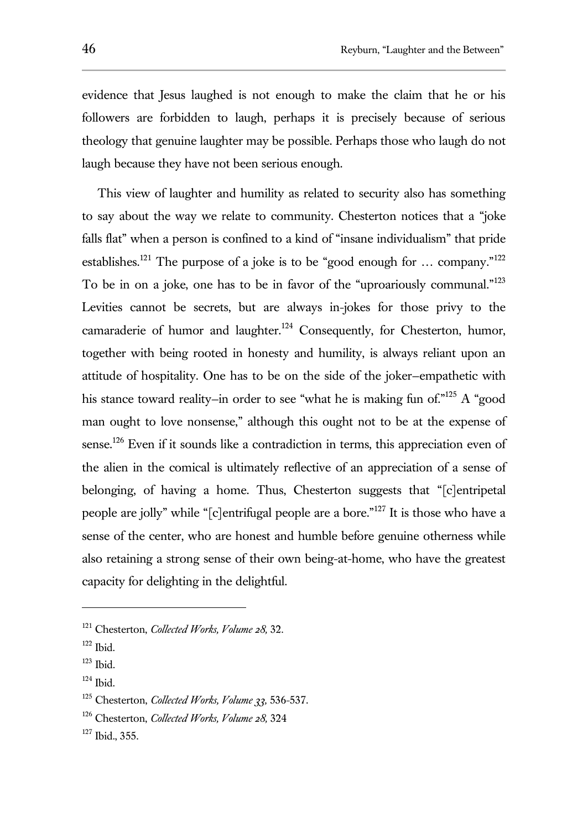evidence that Jesus laughed is not enough to make the claim that he or his followers are forbidden to laugh, perhaps it is precisely because of serious theology that genuine laughter may be possible. Perhaps those who laugh do not laugh because they have not been serious enough.

This view of laughter and humility as related to security also has something to say about the way we relate to community. Chesterton notices that a "joke falls flat" when a person is confined to a kind of "insane individualism" that pride establishes.<sup>121</sup> The purpose of a joke is to be "good enough for ... company."<sup>122</sup> To be in on a joke, one has to be in favor of the "uproariously communal."<sup>123</sup> Levities cannot be secrets, but are always in-jokes for those privy to the camaraderie of humor and laughter.<sup>124</sup> Consequently, for Chesterton, humor, together with being rooted in honesty and humility, is always reliant upon an attitude of hospitality. One has to be on the side of the joker—empathetic with his stance toward reality-in order to see "what he is making fun of."<sup>125</sup> A "good man ought to love nonsense," although this ought not to be at the expense of sense.<sup>126</sup> Even if it sounds like a contradiction in terms, this appreciation even of the alien in the comical is ultimately reflective of an appreciation of a sense of belonging, of having a home. Thus, Chesterton suggests that "[c]entripetal people are jolly" while "[c]entrifugal people are a bore."<sup>127</sup> It is those who have a sense of the center, who are honest and humble before genuine otherness while also retaining a strong sense of their own being-at-home, who have the greatest capacity for delighting in the delightful.

l

 $124$  Ibid.

<sup>121</sup> Chesterton, *Collected Works, Volume 28,* 32.

 $122$  Ibid.

 $123$  Ibid.

<sup>125</sup> Chesterton, *Collected Works, Volume 33,* 536-537.

<sup>126</sup> Chesterton, *Collected Works, Volume 28,* 324

<sup>127</sup> Ibid., 355.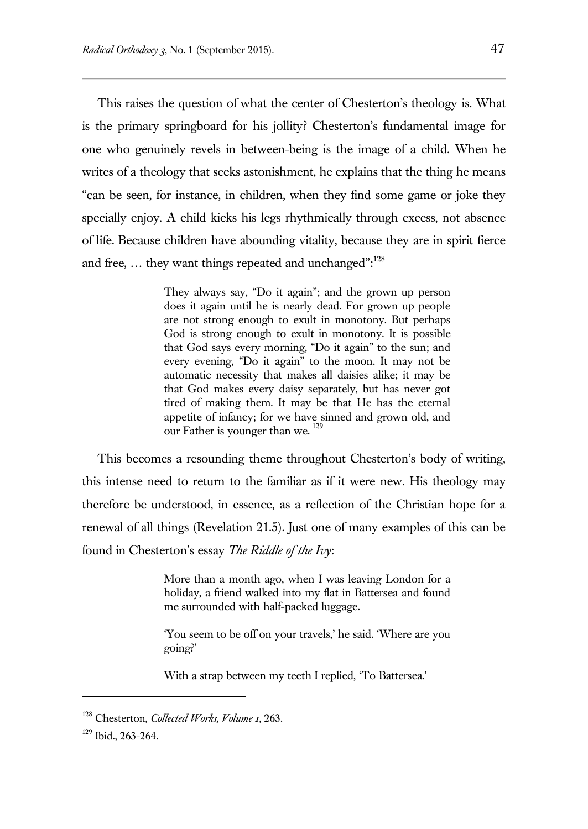This raises the question of what the center of Chesterton's theology is. What is the primary springboard for his jollity? Chesterton's fundamental image for one who genuinely revels in between-being is the image of a child. When he writes of a theology that seeks astonishment, he explains that the thing he means "can be seen, for instance, in children, when they find some game or joke they specially enjoy. A child kicks his legs rhythmically through excess, not absence of life. Because children have abounding vitality, because they are in spirit fierce and free, ... they want things repeated and unchanged": $^{128}$ 

> They always say, "Do it again"; and the grown up person does it again until he is nearly dead. For grown up people are not strong enough to exult in monotony. But perhaps God is strong enough to exult in monotony. It is possible that God says every morning, "Do it again" to the sun; and every evening, "Do it again" to the moon. It may not be automatic necessity that makes all daisies alike; it may be that God makes every daisy separately, but has never got tired of making them. It may be that He has the eternal appetite of infancy; for we have sinned and grown old, and our Father is younger than we.<sup>129</sup>

This becomes a resounding theme throughout Chesterton's body of writing, this intense need to return to the familiar as if it were new. His theology may therefore be understood, in essence, as a reflection of the Christian hope for a renewal of all things (Revelation 21.5). Just one of many examples of this can be found in Chesterton's essay *The Riddle of the Ivy*:

> More than a month ago, when I was leaving London for a holiday, a friend walked into my flat in Battersea and found me surrounded with half-packed luggage.

> 'You seem to be off on your travels,' he said. 'Where are you going?'

With a strap between my teeth I replied, 'To Battersea.'

<sup>128</sup> Chesterton, *Collected Works, Volume 1*, 263.

<sup>129</sup> Ibid., 263-264.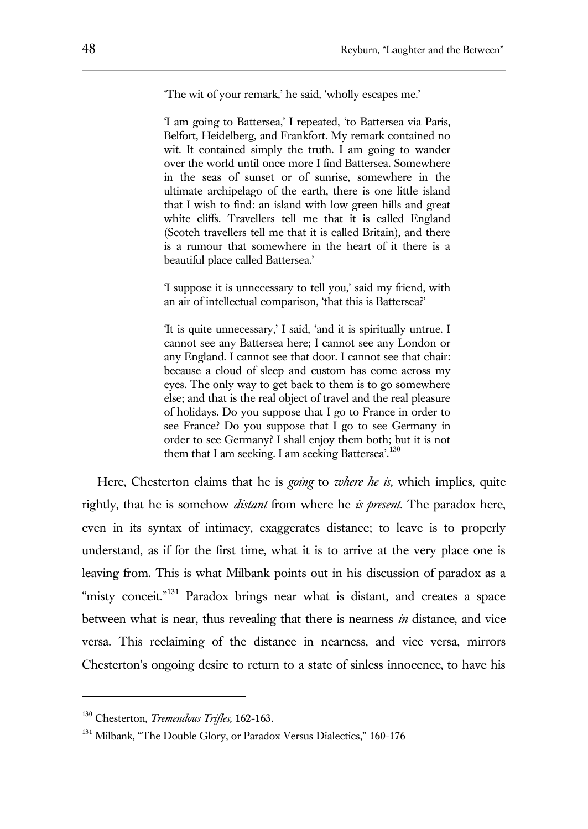'The wit of your remark,' he said, 'wholly escapes me.'

'I am going to Battersea,' I repeated, 'to Battersea via Paris, Belfort, Heidelberg, and Frankfort. My remark contained no wit. It contained simply the truth. I am going to wander over the world until once more I find Battersea. Somewhere in the seas of sunset or of sunrise, somewhere in the ultimate archipelago of the earth, there is one little island that I wish to find: an island with low green hills and great white cliffs. Travellers tell me that it is called England (Scotch travellers tell me that it is called Britain), and there is a rumour that somewhere in the heart of it there is a beautiful place called Battersea.'

'I suppose it is unnecessary to tell you,' said my friend, with an air of intellectual comparison, 'that this is Battersea?'

'It is quite unnecessary,' I said, 'and it is spiritually untrue. I cannot see any Battersea here; I cannot see any London or any England. I cannot see that door. I cannot see that chair: because a cloud of sleep and custom has come across my eyes. The only way to get back to them is to go somewhere else; and that is the real object of travel and the real pleasure of holidays. Do you suppose that I go to France in order to see France? Do you suppose that I go to see Germany in order to see Germany? I shall enjoy them both; but it is not them that I am seeking. I am seeking Battersea<sup>'.130</sup>

Here, Chesterton claims that he is *going* to *where he is,* which implies, quite rightly, that he is somehow *distant* from where he *is present*. The paradox here, even in its syntax of intimacy, exaggerates distance; to leave is to properly understand, as if for the first time, what it is to arrive at the very place one is leaving from. This is what Milbank points out in his discussion of paradox as a "misty conceit."<sup>131</sup> Paradox brings near what is distant, and creates a space between what is near, thus revealing that there is nearness *in* distance, and vice versa. This reclaiming of the distance in nearness, and vice versa, mirrors Chesterton's ongoing desire to return to a state of sinless innocence, to have his

<sup>130</sup> Chesterton, *Tremendous Trifles,* 162-163.

<sup>&</sup>lt;sup>131</sup> Milbank, "The Double Glory, or Paradox Versus Dialectics," 160-176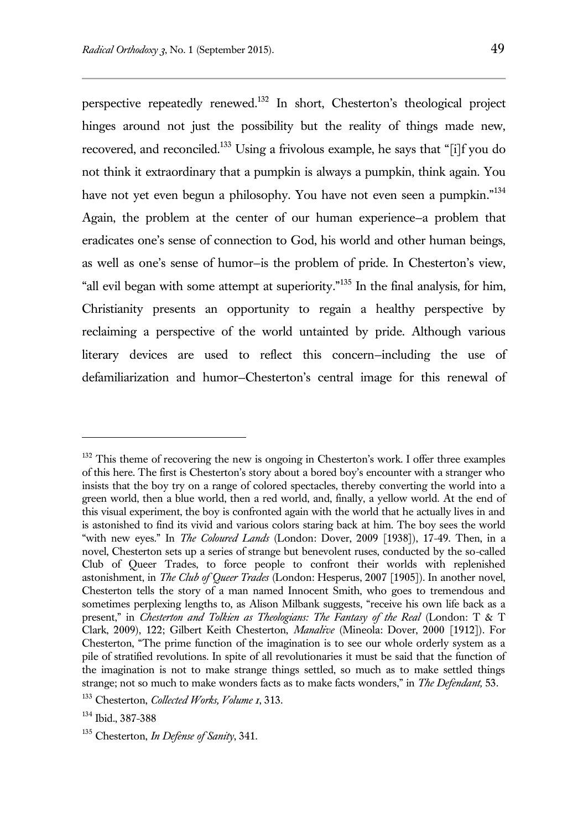perspective repeatedly renewed.<sup>132</sup> In short, Chesterton's theological project hinges around not just the possibility but the reality of things made new, recovered, and reconciled.<sup>133</sup> Using a frivolous example, he says that "[i]f you do not think it extraordinary that a pumpkin is always a pumpkin, think again. You have not yet even begun a philosophy. You have not even seen a pumpkin."<sup>134</sup> Again, the problem at the center of our human experience—a problem that eradicates one's sense of connection to God, his world and other human beings, as well as one's sense of humor—is the problem of pride. In Chesterton's view, "all evil began with some attempt at superiority."<sup>135</sup> In the final analysis, for him, Christianity presents an opportunity to regain a healthy perspective by reclaiming a perspective of the world untainted by pride. Although various literary devices are used to reflect this concern—including the use of defamiliarization and humor—Chesterton's central image for this renewal of

 $132$  This theme of recovering the new is ongoing in Chesterton's work. I offer three examples of this here. The first is Chesterton's story about a bored boy's encounter with a stranger who insists that the boy try on a range of colored spectacles, thereby converting the world into a green world, then a blue world, then a red world, and, finally, a yellow world. At the end of this visual experiment, the boy is confronted again with the world that he actually lives in and is astonished to find its vivid and various colors staring back at him. The boy sees the world "with new eyes." In *The Coloured Lands* (London: Dover, 2009 [1938]), 17-49. Then, in a novel, Chesterton sets up a series of strange but benevolent ruses, conducted by the so-called Club of Queer Trades, to force people to confront their worlds with replenished astonishment, in *The Club of Queer Trades* (London: Hesperus, 2007 [1905]). In another novel, Chesterton tells the story of a man named Innocent Smith, who goes to tremendous and sometimes perplexing lengths to, as Alison Milbank suggests, "receive his own life back as a present," in *Chesterton and Tolkien as Theologians: The Fantasy of the Real* (London: T & T Clark, 2009), 122; Gilbert Keith Chesterton, *Manalive* (Mineola: Dover, 2000 [1912]). For Chesterton, "The prime function of the imagination is to see our whole orderly system as a pile of stratified revolutions. In spite of all revolutionaries it must be said that the function of the imagination is not to make strange things settled, so much as to make settled things strange; not so much to make wonders facts as to make facts wonders," in *The Defendant,* 53.

<sup>133</sup> Chesterton, *Collected Works, Volume 1*, 313.

<sup>134</sup> Ibid., 387-388

<sup>135</sup> Chesterton, *In Defense of Sanity*, 341.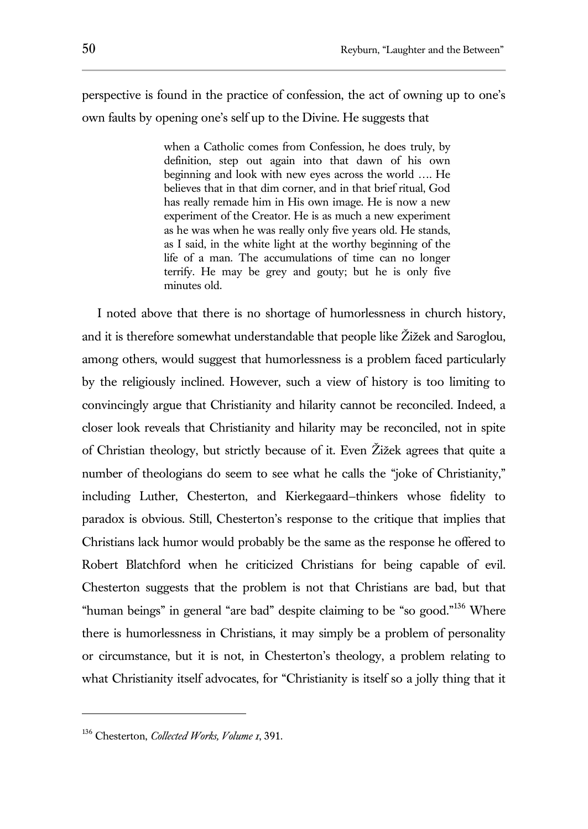perspective is found in the practice of confession, the act of owning up to one's own faults by opening one's self up to the Divine. He suggests that

> when a Catholic comes from Confession, he does truly, by definition, step out again into that dawn of his own beginning and look with new eyes across the world …. He believes that in that dim corner, and in that brief ritual, God has really remade him in His own image. He is now a new experiment of the Creator. He is as much a new experiment as he was when he was really only five years old. He stands, as I said, in the white light at the worthy beginning of the life of a man. The accumulations of time can no longer terrify. He may be grey and gouty; but he is only five minutes old.

I noted above that there is no shortage of humorlessness in church history, and it is therefore somewhat understandable that people like Žižek and Saroglou, among others, would suggest that humorlessness is a problem faced particularly by the religiously inclined. However, such a view of history is too limiting to convincingly argue that Christianity and hilarity cannot be reconciled. Indeed, a closer look reveals that Christianity and hilarity may be reconciled, not in spite of Christian theology, but strictly because of it. Even Žižek agrees that quite a number of theologians do seem to see what he calls the "joke of Christianity," including Luther, Chesterton, and Kierkegaard—thinkers whose fidelity to paradox is obvious. Still, Chesterton's response to the critique that implies that Christians lack humor would probably be the same as the response he offered to Robert Blatchford when he criticized Christians for being capable of evil. Chesterton suggests that the problem is not that Christians are bad, but that "human beings" in general "are bad" despite claiming to be "so good."<sup>136</sup> Where there is humorlessness in Christians, it may simply be a problem of personality or circumstance, but it is not, in Chesterton's theology, a problem relating to what Christianity itself advocates, for "Christianity is itself so a jolly thing that it

<sup>136</sup> Chesterton, *Collected Works, Volume 1*, 391.